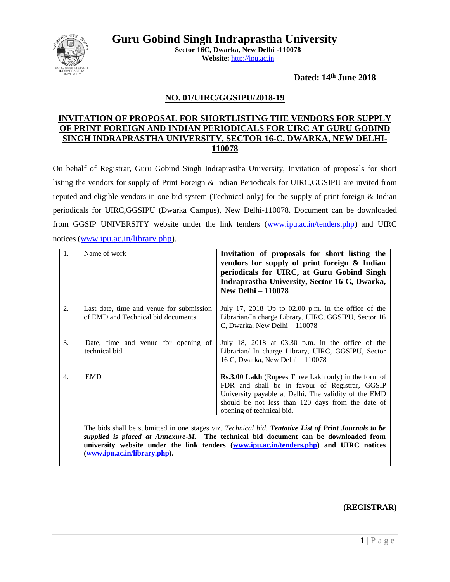

**Guru Gobind Singh Indraprastha University Sector 16C, Dwarka, New Delhi -110078** 

**Website:** [http://ipu.ac.in](http://ipu.ac.in/)

**Dated: 14th June 2018**

### **NO. 01/UIRC/GGSIPU/2018-19**

### **INVITATION OF PROPOSAL FOR SHORTLISTING THE VENDORS FOR SUPPLY OF PRINT FOREIGN AND INDIAN PERIODICALS FOR UIRC AT GURU GOBIND SINGH INDRAPRASTHA UNIVERSITY, SECTOR 16-C, DWARKA, NEW DELHI-110078**

On behalf of Registrar, Guru Gobind Singh Indraprastha University, Invitation of proposals for short listing the vendors for supply of Print Foreign & Indian Periodicals for UIRC,GGSIPU are invited from reputed and eligible vendors in one bid system (Technical only) for the supply of print foreign & Indian periodicals for UIRC,GGSIPU **(**Dwarka Campus), New Delhi-110078. Document can be downloaded from GGSIP UNIVERSITY website under the link tenders [\(www.ipu.ac.in/tenders.php\)](http://www.ipu.ac.in/tenders.php) and UIRC notices (www.[ipu.ac.in/library.php\)](http://www.ipu.ac.in/library.php).

| 1.               | Name of work                                                                   | Invitation of proposals for short listing the<br>vendors for supply of print foreign & Indian<br>periodicals for UIRC, at Guru Gobind Singh<br>Indraprastha University, Sector 16 C, Dwarka,<br><b>New Delhi - 110078</b>                                                             |
|------------------|--------------------------------------------------------------------------------|---------------------------------------------------------------------------------------------------------------------------------------------------------------------------------------------------------------------------------------------------------------------------------------|
| 2.               | Last date, time and venue for submission<br>of EMD and Technical bid documents | July 17, 2018 Up to $02.00$ p.m. in the office of the<br>Librarian/In charge Library, UIRC, GGSIPU, Sector 16<br>C, Dwarka, New Delhi - 110078                                                                                                                                        |
| 3.               | Date, time and venue for opening of<br>technical bid                           | July 18, 2018 at 03.30 p.m. in the office of the<br>Librarian/ In charge Library, UIRC, GGSIPU, Sector<br>16 C, Dwarka, New Delhi - 110078                                                                                                                                            |
| $\overline{4}$ . | <b>EMD</b>                                                                     | Rs.3.00 Lakh (Rupees Three Lakh only) in the form of<br>FDR and shall be in favour of Registrar, GGSIP<br>University payable at Delhi. The validity of the EMD<br>should be not less than 120 days from the date of<br>opening of technical bid.                                      |
|                  | (www.ipu.ac.in/library.php).                                                   | The bids shall be submitted in one stages viz. Technical bid. Tentative List of Print Journals to be<br>supplied is placed at Annexure-M. The technical bid document can be downloaded from<br>university website under the link tenders (www.ipu.ac.in/tenders.php) and UIRC notices |

#### **(REGISTRAR)**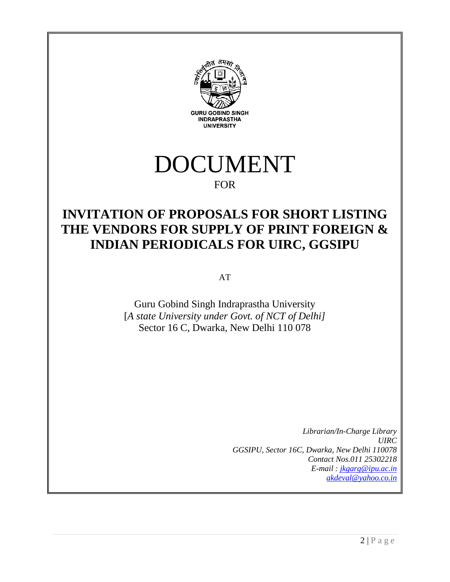



### FOR

# **INVITATION OF PROPOSALS FOR SHORT LISTING THE VENDORS FOR SUPPLY OF PRINT FOREIGN & INDIAN PERIODICALS FOR UIRC, GGSIPU**

AT

Guru Gobind Singh Indraprastha University [*A state University under Govt. of NCT of Delhi]* Sector 16 C, Dwarka, New Delhi 110 078

> *Librarian/In-Charge Library UIRC GGSIPU, Sector 16C, Dwarka, New Delhi 110078 Contact Nos.011 25302218 E-mail : [jkgarg@ipu.ac.in](mailto:jkgarg@ipu.ac.in) [akdeval@yahoo.co.in](mailto:akdeval@yahoo.co.in)*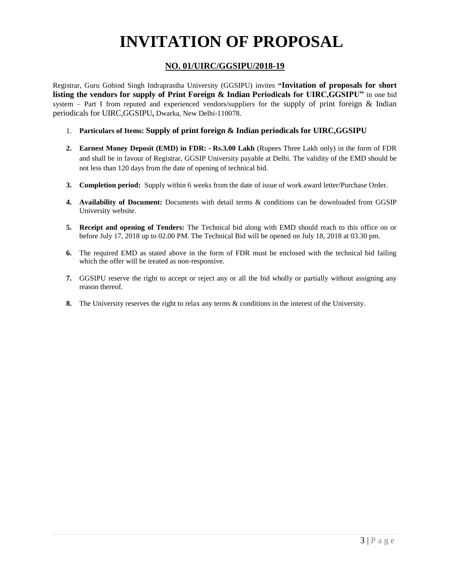# **INVITATION OF PROPOSAL**

### **NO. 01/UIRC/GGSIPU/2018-19**

Registrar, Guru Gobind Singh Indraprastha University (GGSIPU) invites **"Invitation of proposals for short listing the vendors for supply of Print Foreign & Indian Periodicals for UIRC,GGSIPU"** in one bid system – Part I from reputed and experienced vendors/suppliers for the supply of print foreign  $\&$  Indian periodicals for UIRC,GGSIPU**,** Dwarka, New Delhi-110078.

- 1. **Particulars of Items: Supply of print foreign & Indian periodicals for UIRC,GGSIPU**
- **2. Earnest Money Deposit (EMD) in FDR: - Rs.3.00 Lakh** (Rupees Three Lakh only) in the form of FDR and shall be in favour of Registrar, GGSIP University payable at Delhi. The validity of the EMD should be not less than 120 days from the date of opening of technical bid.
- **3. Completion period:** Supply within 6 weeks from the date of issue of work award letter/Purchase Order.
- **4. Availability of Document:** Documents with detail terms & conditions can be downloaded from GGSIP University website.
- **5. Receipt and opening of Tenders:** The Technical bid along with EMD should reach to this office on or before July 17, 2018 up to 02.00 PM. The Technical Bid will be opened on July 18, 2018 at 03.30 pm.
- **6.** The required EMD as stated above in the form of FDR must be enclosed with the technical bid failing which the offer will be treated as non-responsive.
- **7.** GGSIPU reserve the right to accept or reject any or all the bid wholly or partially without assigning any reason thereof.
- **8.** The University reserves the right to relax any terms & conditions in the interest of the University.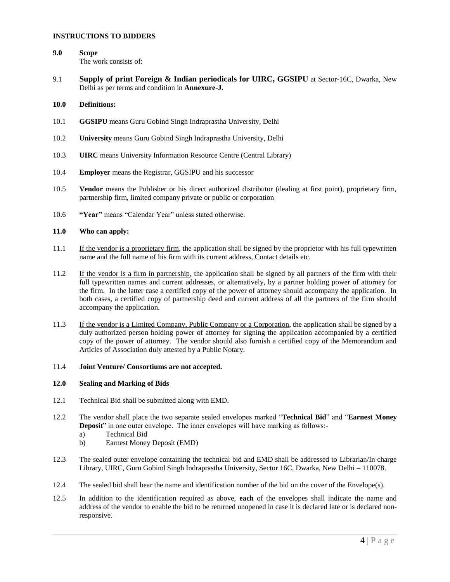#### **INSTRUCTIONS TO BIDDERS**

- **9.0 Scope** The work consists of:
- 9.1 **Supply of print Foreign & Indian periodicals for UIRC, GGSIPU** at Sector-16C, Dwarka, New Delhi as per terms and condition in **Annexure-J.**

#### **10.0 Definitions:**

- 10.1 **GGSIPU** means Guru Gobind Singh Indraprastha University, Delhi
- 10.2 **University** means Guru Gobind Singh Indraprastha University, Delhi
- 10.3 **UIRC** means University Information Resource Centre (Central Library)
- 10.4 **Employer** means the Registrar, GGSIPU and his successor
- 10.5 **Vendor** means the Publisher or his direct authorized distributor (dealing at first point), proprietary firm, partnership firm, limited company private or public or corporation
- 10.6 **"Year"** means "Calendar Year" unless stated otherwise.

#### **11.0 Who can apply:**

- 11.1 If the vendor is a proprietary firm, the application shall be signed by the proprietor with his full typewritten name and the full name of his firm with its current address, Contact details etc.
- 11.2 If the vendor is a firm in partnership, the application shall be signed by all partners of the firm with their full typewritten names and current addresses, or alternatively, by a partner holding power of attorney for the firm. In the latter case a certified copy of the power of attorney should accompany the application. In both cases, a certified copy of partnership deed and current address of all the partners of the firm should accompany the application.
- 11.3 If the vendor is a Limited Company, Public Company or a Corporation, the application shall be signed by a duly authorized person holding power of attorney for signing the application accompanied by a certified copy of the power of attorney. The vendor should also furnish a certified copy of the Memorandum and Articles of Association duly attested by a Public Notary.

#### 11.4 **Joint Venture/ Consortiums are not accepted.**

#### **12.0 Sealing and Marking of Bids**

- 12.1 Technical Bid shall be submitted along with EMD.
- 12.2 The vendor shall place the two separate sealed envelopes marked "**Technical Bid**" and "**Earnest Money Deposit**" in one outer envelope. The inner envelopes will have marking as follows:
	- a) Technical Bid
	- b) Earnest Money Deposit (EMD)
- 12.3 The sealed outer envelope containing the technical bid and EMD shall be addressed to Librarian/In charge Library, UIRC, Guru Gobind Singh Indraprastha University, Sector 16C, Dwarka, New Delhi – 110078.
- 12.4 The sealed bid shall bear the name and identification number of the bid on the cover of the Envelope(s).
- 12.5 In addition to the identification required as above, **each** of the envelopes shall indicate the name and address of the vendor to enable the bid to be returned unopened in case it is declared late or is declared nonresponsive.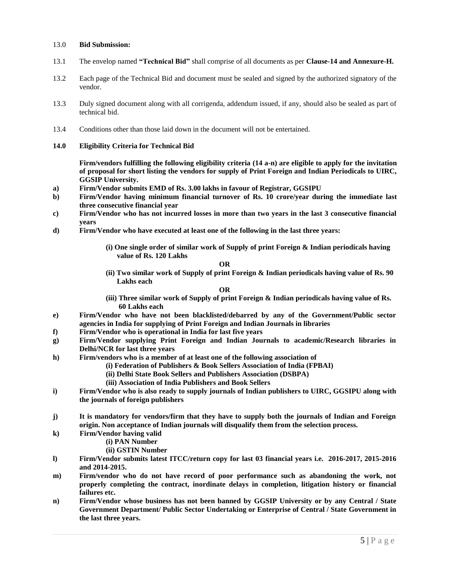#### 13.0 **Bid Submission:**

- 13.1 The envelop named **"Technical Bid"** shall comprise of all documents as per **Clause-14 and Annexure-H.**
- 13.2 Each page of the Technical Bid and document must be sealed and signed by the authorized signatory of the vendor.
- 13.3 Duly signed document along with all corrigenda, addendum issued, if any, should also be sealed as part of technical bid.
- 13.4 Conditions other than those laid down in the document will not be entertained.
- **14.0 Eligibility Criteria for Technical Bid**

**Firm/vendors fulfilling the following eligibility criteria (14 a-n) are eligible to apply for the invitation of proposal for short listing the vendors for supply of Print Foreign and Indian Periodicals to UIRC, GGSIP University.**

- **a) Firm/Vendor submits EMD of Rs. 3.00 lakhs in favour of Registrar, GGSIPU**
- **b) Firm/Vendor having minimum financial turnover of Rs. 10 crore/year during the immediate last three consecutive financial year**
- **c) Firm/Vendor who has not incurred losses in more than two years in the last 3 consecutive financial years**
- **d) Firm/Vendor who have executed at least one of the following in the last three years:**
	- **(i) One single order of similar work of Supply of print Foreign & Indian periodicals having value of Rs. 120 Lakhs**

**OR**

**(ii) Two similar work of Supply of print Foreign & Indian periodicals having value of Rs. 90 Lakhs each**

**OR**

- **(iii) Three similar work of Supply of print Foreign & Indian periodicals having value of Rs. 60 Lakhs each**
- **e) Firm/Vendor who have not been blacklisted/debarred by any of the Government/Public sector agencies in India for supplying of Print Foreign and Indian Journals in libraries**
- **f) Firm/Vendor who is operational in India for last five years**
- **g) Firm/Vendor supplying Print Foreign and Indian Journals to academic/Research libraries in Delhi/NCR for last three years**
- **h) Firm/vendors who is a member of at least one of the following association of** 
	- **(i) Federation of Publishers & Book Sellers Association of India (FPBAI)**
	- **(ii) Delhi State Book Sellers and Publishers Association (DSBPA)**
	- **(iii) Association of India Publishers and Book Sellers**
- **i) Firm/Vendor who is also ready to supply journals of Indian publishers to UIRC, GGSIPU along with the journals of foreign publishers**
- **j) It is mandatory for vendors/firm that they have to supply both the journals of Indian and Foreign origin. Non acceptance of Indian journals will disqualify them from the selection process.**
- **k) Firm/Vendor having valid** 
	- **(i) PAN Number**
	- **(ii) GSTIN Number**
- **l) Firm/Vendor submits latest ITCC/return copy for last 03 financial years i.e. 2016-2017, 2015-2016 and 2014-2015.**
- **m) Firm/vendor who do not have record of poor performance such as abandoning the work, not properly completing the contract, inordinate delays in completion, litigation history or financial failures etc.**
- **n) Firm/Vendor whose business has not been banned by GGSIP University or by any Central / State Government Department/ Public Sector Undertaking or Enterprise of Central / State Government in the last three years.**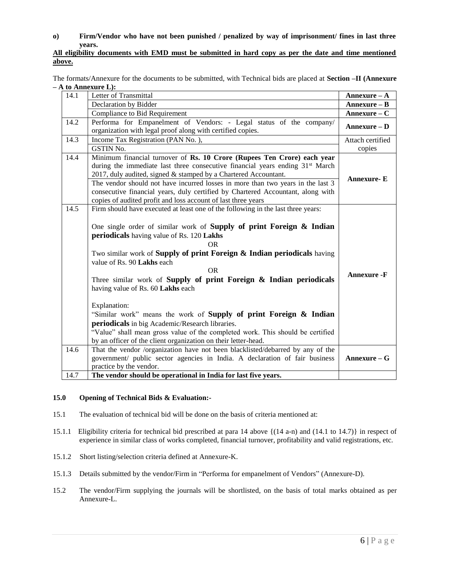#### **o) Firm/Vendor who have not been punished / penalized by way of imprisonment/ fines in last three years.**

#### **All eligibility documents with EMD must be submitted in hard copy as per the date and time mentioned above.**

The formats/Annexure for the documents to be submitted, with Technical bids are placed at **Section –II (Annexure – A to Annexure L):** 

| 14.1 | Letter of Transmittal                                                                     | Annexure $-A$      |
|------|-------------------------------------------------------------------------------------------|--------------------|
|      | Declaration by Bidder                                                                     | Annexure - B       |
|      | <b>Compliance to Bid Requirement</b>                                                      | $An$ nexure – $C$  |
| 14.2 | Performa for Empanelment of Vendors: - Legal status of the company/                       | $Annexure - D$     |
|      | organization with legal proof along with certified copies.                                |                    |
| 14.3 | Income Tax Registration (PAN No.),                                                        | Attach certified   |
|      | <b>GSTIN No.</b>                                                                          | copies             |
| 14.4 | Minimum financial turnover of Rs. 10 Crore (Rupees Ten Crore) each year                   |                    |
|      | during the immediate last three consecutive financial years ending 31 <sup>st</sup> March |                    |
|      | 2017, duly audited, signed & stamped by a Chartered Accountant.                           | <b>Annexure-E</b>  |
|      | The vendor should not have incurred losses in more than two years in the last 3           |                    |
|      | consecutive financial years, duly certified by Chartered Accountant, along with           |                    |
|      | copies of audited profit and loss account of last three years                             |                    |
| 14.5 | Firm should have executed at least one of the following in the last three years:          |                    |
|      |                                                                                           |                    |
|      | One single order of similar work of <b>Supply of print Foreign &amp; Indian</b>           |                    |
|      | periodicals having value of Rs. 120 Lakhs                                                 |                    |
|      | <b>OR</b>                                                                                 |                    |
|      | Two similar work of Supply of print Foreign & Indian periodicals having                   |                    |
|      | value of Rs. 90 Lakhs each                                                                |                    |
|      | <b>OR</b>                                                                                 | <b>Annexure -F</b> |
|      | Three similar work of Supply of print Foreign & Indian periodicals                        |                    |
|      | having value of Rs. 60 Lakhs each                                                         |                    |
|      |                                                                                           |                    |
|      | Explanation:                                                                              |                    |
|      | "Similar work" means the work of <b>Supply of print Foreign &amp; Indian</b>              |                    |
|      | periodicals in big Academic/Research libraries.                                           |                    |
|      | "Value" shall mean gross value of the completed work. This should be certified            |                    |
|      | by an officer of the client organization on their letter-head.                            |                    |
| 14.6 | That the vendor /organization have not been blacklisted/debarred by any of the            |                    |
|      | government/ public sector agencies in India. A declaration of fair business               | $An$ nexure – G    |
|      | practice by the vendor.                                                                   |                    |
| 14.7 | The vendor should be operational in India for last five years.                            |                    |

#### **15.0 Opening of Technical Bids & Evaluation:-**

- 15.1 The evaluation of technical bid will be done on the basis of criteria mentioned at:
- 15.1.1 Eligibility criteria for technical bid prescribed at para 14 above {(14 a-n) and (14.1 to 14.7)} in respect of experience in similar class of works completed, financial turnover, profitability and valid registrations, etc.
- 15.1.2 Short listing/selection criteria defined at Annexure-K.
- 15.1.3 Details submitted by the vendor/Firm in "Performa for empanelment of Vendors" (Annexure-D).
- 15.2 The vendor/Firm supplying the journals will be shortlisted, on the basis of total marks obtained as per Annexure-L.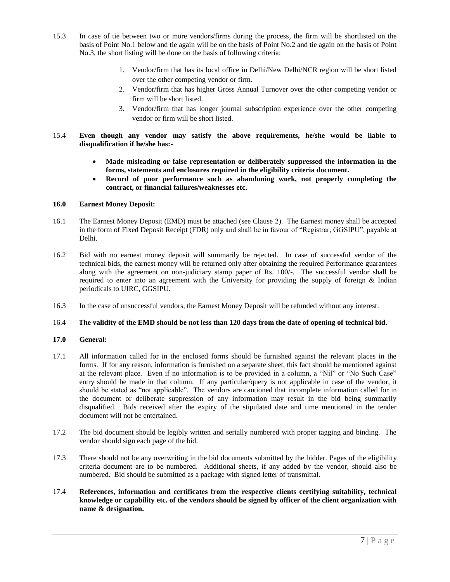- 15.3 In case of tie between two or more vendors/firms during the process, the firm will be shortlisted on the basis of Point No.1 below and tie again will be on the basis of Point No.2 and tie again on the basis of Point No.3, the short listing will be done on the basis of following criteria:
	- 1. Vendor/firm that has its local office in Delhi/New Delhi/NCR region will be short listed over the other competing vendor or firm.
	- 2. Vendor/firm that has higher Gross Annual Turnover over the other competing vendor or firm will be short listed.
	- 3. Vendor/firm that has longer journal subscription experience over the other competing vendor or firm will be short listed.
- 15.4 **Even though any vendor may satisfy the above requirements, he/she would be liable to disqualification if he/she has:-**
	- **Made misleading or false representation or deliberately suppressed the information in the forms, statements and enclosures required in the eligibility criteria document.**
	- **Record of poor performance such as abandoning work, not properly completing the contract, or financial failures/weaknesses etc.**

#### **16.0 Earnest Money Deposit:**

- 16.1 The Earnest Money Deposit (EMD) must be attached (see Clause 2). The Earnest money shall be accepted in the form of Fixed Deposit Receipt (FDR) only and shall be in favour of "Registrar, GGSIPU", payable at Delhi.
- 16.2 Bid with no earnest money deposit will summarily be rejected. In case of successful vendor of the technical bids, the earnest money will be returned only after obtaining the required Performance guarantees along with the agreement on non-judiciary stamp paper of Rs. 100/-. The successful vendor shall be required to enter into an agreement with the University for providing the supply of foreign & Indian periodicals to UIRC, GGSIPU.
- 16.3 In the case of unsuccessful vendors, the Earnest Money Deposit will be refunded without any interest.

#### 16.4 **The validity of the EMD should be not less than 120 days from the date of opening of technical bid.**

#### **17.0 General:**

- 17.1 All information called for in the enclosed forms should be furnished against the relevant places in the forms. If for any reason, information is furnished on a separate sheet, this fact should be mentioned against at the relevant place. Even if no information is to be provided in a column, a "Nil" or "No Such Case" entry should be made in that column. If any particular/query is not applicable in case of the vendor, it should be stated as "not applicable". The vendors are cautioned that incomplete information called for in the document or deliberate suppression of any information may result in the bid being summarily disqualified. Bids received after the expiry of the stipulated date and time mentioned in the tender document will not be entertained.
- 17.2 The bid document should be legibly written and serially numbered with proper tagging and binding. The vendor should sign each page of the bid.
- 17.3 There should not be any overwriting in the bid documents submitted by the bidder. Pages of the eligibility criteria document are to be numbered. Additional sheets, if any added by the vendor, should also be numbered. Bid should be submitted as a package with signed letter of transmittal.
- 17.4 **References, information and certificates from the respective clients certifying suitability, technical knowledge or capability etc. of the vendors should be signed by officer of the client organization with name & designation.**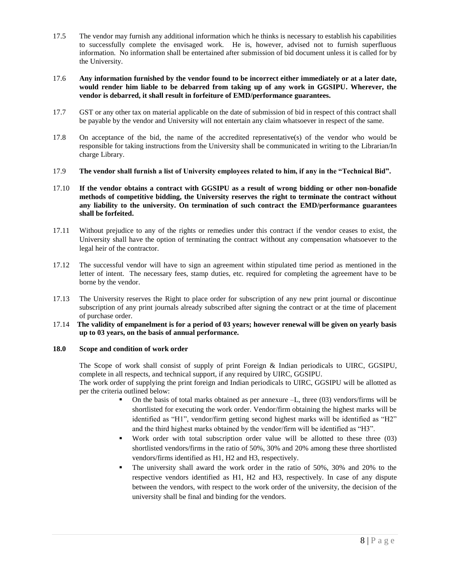17.5 The vendor may furnish any additional information which he thinks is necessary to establish his capabilities to successfully complete the envisaged work. He is, however, advised not to furnish superfluous information. No information shall be entertained after submission of bid document unless it is called for by the University.

#### 17.6 **Any information furnished by the vendor found to be incorrect either immediately or at a later date, would render him liable to be debarred from taking up of any work in GGSIPU. Wherever, the vendor is debarred, it shall result in forfeiture of EMD/performance guarantees.**

- 17.7 GST or any other tax on material applicable on the date of submission of bid in respect of this contract shall be payable by the vendor and University will not entertain any claim whatsoever in respect of the same.
- 17.8 On acceptance of the bid, the name of the accredited representative(s) of the vendor who would be responsible for taking instructions from the University shall be communicated in writing to the Librarian/In charge Library.
- 17.9 **The vendor shall furnish a list of University employees related to him, if any in the "Technical Bid".**
- 17.10 **If the vendor obtains a contract with GGSIPU as a result of wrong bidding or other non-bonafide methods of competitive bidding, the University reserves the right to terminate the contract without any liability to the university. On termination of such contract the EMD/performance guarantees shall be forfeited.**
- 17.11 Without prejudice to any of the rights or remedies under this contract if the vendor ceases to exist, the University shall have the option of terminating the contract without any compensation whatsoever to the legal heir of the contractor.
- 17.12 The successful vendor will have to sign an agreement within stipulated time period as mentioned in the letter of intent. The necessary fees, stamp duties, etc. required for completing the agreement have to be borne by the vendor.
- 17.13 The University reserves the Right to place order for subscription of any new print journal or discontinue subscription of any print journals already subscribed after signing the contract or at the time of placement of purchase order.
- 17.14 **The validity of empanelment is for a period of 03 years; however renewal will be given on yearly basis up to 03 years, on the basis of annual performance.**

#### **18.0 Scope and condition of work order**

The Scope of work shall consist of supply of print Foreign & Indian periodicals to UIRC, GGSIPU, complete in all respects, and technical support, if any required by UIRC, GGSIPU.

The work order of supplying the print foreign and Indian periodicals to UIRC, GGSIPU will be allotted as per the criteria outlined below:

- On the basis of total marks obtained as per annexure  $-L$ , three (03) vendors/firms will be shortlisted for executing the work order. Vendor/firm obtaining the highest marks will be identified as "H1", vendor/firm getting second highest marks will be identified as "H2" and the third highest marks obtained by the vendor/firm will be identified as "H3".
- Work order with total subscription order value will be allotted to these three (03) shortlisted vendors/firms in the ratio of 50%, 30% and 20% among these three shortlisted vendors/firms identified as H1, H2 and H3, respectively.
- The university shall award the work order in the ratio of 50%, 30% and 20% to the respective vendors identified as H1, H2 and H3, respectively. In case of any dispute between the vendors, with respect to the work order of the university, the decision of the university shall be final and binding for the vendors.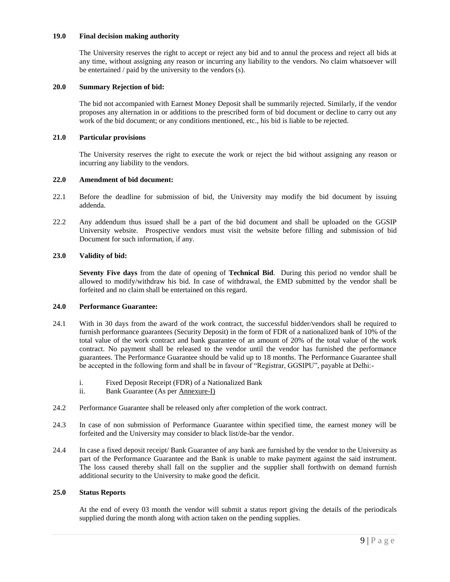#### **19.0 Final decision making authority**

The University reserves the right to accept or reject any bid and to annul the process and reject all bids at any time, without assigning any reason or incurring any liability to the vendors. No claim whatsoever will be entertained / paid by the university to the vendors (s).

#### **20.0 Summary Rejection of bid:**

The bid not accompanied with Earnest Money Deposit shall be summarily rejected. Similarly, if the vendor proposes any alternation in or additions to the prescribed form of bid document or decline to carry out any work of the bid document; or any conditions mentioned, etc., his bid is liable to be rejected.

#### **21.0 Particular provisions**

The University reserves the right to execute the work or reject the bid without assigning any reason or incurring any liability to the vendors.

#### **22.0 Amendment of bid document:**

- 22.1 Before the deadline for submission of bid, the University may modify the bid document by issuing addenda.
- 22.2 Any addendum thus issued shall be a part of the bid document and shall be uploaded on the GGSIP University website. Prospective vendors must visit the website before filling and submission of bid Document for such information, if any.

#### **23.0 Validity of bid:**

**Seventy Five days** from the date of opening of **Technical Bid**. During this period no vendor shall be allowed to modify/withdraw his bid. In case of withdrawal, the EMD submitted by the vendor shall be forfeited and no claim shall be entertained on this regard.

#### **24.0 Performance Guarantee:**

- 24.1 With in 30 days from the award of the work contract, the successful bidder/vendors shall be required to furnish performance guarantees (Security Deposit) in the form of FDR of a nationalized bank of 10% of the total value of the work contract and bank guarantee of an amount of 20% of the total value of the work contract. No payment shall be released to the vendor until the vendor has furnished the performance guarantees. The Performance Guarantee should be valid up to 18 months. The Performance Guarantee shall be accepted in the following form and shall be in favour of "Registrar, GGSIPU", payable at Delhi:
	- i. Fixed Deposit Receipt (FDR) of a Nationalized Bank
	- ii. Bank Guarantee (As per Annexure-I)
- 24.2 Performance Guarantee shall be released only after completion of the work contract.
- 24.3 In case of non submission of Performance Guarantee within specified time, the earnest money will be forfeited and the University may consider to black list/de-bar the vendor.
- 24.4 In case a fixed deposit receipt/ Bank Guarantee of any bank are furnished by the vendor to the University as part of the Performance Guarantee and the Bank is unable to make payment against the said instrument. The loss caused thereby shall fall on the supplier and the supplier shall forthwith on demand furnish additional security to the University to make good the deficit.

#### **25.0 Status Reports**

At the end of every 03 month the vendor will submit a status report giving the details of the periodicals supplied during the month along with action taken on the pending supplies.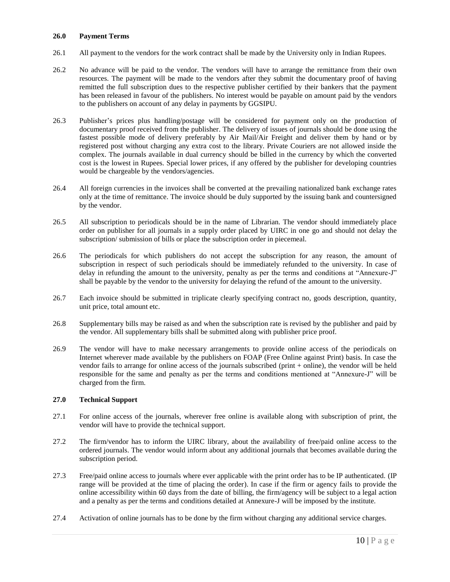#### **26.0 Payment Terms**

- 26.1 All payment to the vendors for the work contract shall be made by the University only in Indian Rupees.
- 26.2 No advance will be paid to the vendor. The vendors will have to arrange the remittance from their own resources. The payment will be made to the vendors after they submit the documentary proof of having remitted the full subscription dues to the respective publisher certified by their bankers that the payment has been released in favour of the publishers. No interest would be payable on amount paid by the vendors to the publishers on account of any delay in payments by GGSIPU.
- 26.3 Publisher's prices plus handling/postage will be considered for payment only on the production of documentary proof received from the publisher. The delivery of issues of journals should be done using the fastest possible mode of delivery preferably by Air Mail/Air Freight and deliver them by hand or by registered post without charging any extra cost to the library. Private Couriers are not allowed inside the complex. The journals available in dual currency should be billed in the currency by which the converted cost is the lowest in Rupees. Special lower prices, if any offered by the publisher for developing countries would be chargeable by the vendors/agencies.
- 26.4 All foreign currencies in the invoices shall be converted at the prevailing nationalized bank exchange rates only at the time of remittance. The invoice should be duly supported by the issuing bank and countersigned by the vendor.
- 26.5 All subscription to periodicals should be in the name of Librarian. The vendor should immediately place order on publisher for all journals in a supply order placed by UIRC in one go and should not delay the subscription/ submission of bills or place the subscription order in piecemeal.
- 26.6 The periodicals for which publishers do not accept the subscription for any reason, the amount of subscription in respect of such periodicals should be immediately refunded to the university. In case of delay in refunding the amount to the university, penalty as per the terms and conditions at "Annexure-J" shall be payable by the vendor to the university for delaying the refund of the amount to the university.
- 26.7 Each invoice should be submitted in triplicate clearly specifying contract no, goods description, quantity, unit price, total amount etc.
- 26.8 Supplementary bills may be raised as and when the subscription rate is revised by the publisher and paid by the vendor. All supplementary bills shall be submitted along with publisher price proof.
- 26.9 The vendor will have to make necessary arrangements to provide online access of the periodicals on Internet wherever made available by the publishers on FOAP (Free Online against Print) basis. In case the vendor fails to arrange for online access of the journals subscribed (print + online), the vendor will be held responsible for the same and penalty as per the terms and conditions mentioned at "Annexure-J" will be charged from the firm.

#### **27.0 Technical Support**

- 27.1 For online access of the journals, wherever free online is available along with subscription of print, the vendor will have to provide the technical support.
- 27.2 The firm/vendor has to inform the UIRC library, about the availability of free/paid online access to the ordered journals. The vendor would inform about any additional journals that becomes available during the subscription period.
- 27.3 Free/paid online access to journals where ever applicable with the print order has to be IP authenticated. (IP range will be provided at the time of placing the order). In case if the firm or agency fails to provide the online accessibility within 60 days from the date of billing, the firm/agency will be subject to a legal action and a penalty as per the terms and conditions detailed at Annexure-J will be imposed by the institute.
- 27.4 Activation of online journals has to be done by the firm without charging any additional service charges.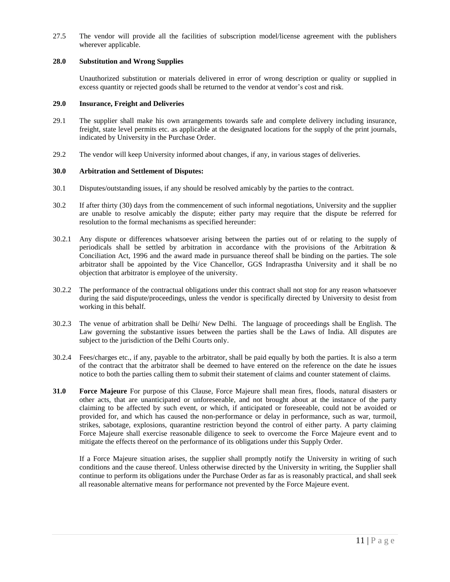27.5 The vendor will provide all the facilities of subscription model/license agreement with the publishers wherever applicable.

#### **28.0 Substitution and Wrong Supplies**

Unauthorized substitution or materials delivered in error of wrong description or quality or supplied in excess quantity or rejected goods shall be returned to the vendor at vendor's cost and risk.

#### **29.0 Insurance, Freight and Deliveries**

- 29.1 The supplier shall make his own arrangements towards safe and complete delivery including insurance, freight, state level permits etc. as applicable at the designated locations for the supply of the print journals, indicated by University in the Purchase Order.
- 29.2 The vendor will keep University informed about changes, if any, in various stages of deliveries.

#### **30.0 Arbitration and Settlement of Disputes:**

- 30.1 Disputes/outstanding issues, if any should be resolved amicably by the parties to the contract.
- 30.2 If after thirty (30) days from the commencement of such informal negotiations, University and the supplier are unable to resolve amicably the dispute; either party may require that the dispute be referred for resolution to the formal mechanisms as specified hereunder:
- 30.2.1 Any dispute or differences whatsoever arising between the parties out of or relating to the supply of periodicals shall be settled by arbitration in accordance with the provisions of the Arbitration & Conciliation Act, 1996 and the award made in pursuance thereof shall be binding on the parties. The sole arbitrator shall be appointed by the Vice Chancellor, GGS Indraprastha University and it shall be no objection that arbitrator is employee of the university.
- 30.2.2 The performance of the contractual obligations under this contract shall not stop for any reason whatsoever during the said dispute/proceedings, unless the vendor is specifically directed by University to desist from working in this behalf.
- 30.2.3 The venue of arbitration shall be Delhi/ New Delhi. The language of proceedings shall be English. The Law governing the substantive issues between the parties shall be the Laws of India. All disputes are subject to the jurisdiction of the Delhi Courts only.
- 30.2.4 Fees/charges etc., if any, payable to the arbitrator, shall be paid equally by both the parties. It is also a term of the contract that the arbitrator shall be deemed to have entered on the reference on the date he issues notice to both the parties calling them to submit their statement of claims and counter statement of claims.
- **31.0 Force Majeure** For purpose of this Clause, Force Majeure shall mean fires, floods, natural disasters or other acts, that are unanticipated or unforeseeable, and not brought about at the instance of the party claiming to be affected by such event, or which, if anticipated or foreseeable, could not be avoided or provided for, and which has caused the non-performance or delay in performance, such as war, turmoil, strikes, sabotage, explosions, quarantine restriction beyond the control of either party. A party claiming Force Majeure shall exercise reasonable diligence to seek to overcome the Force Majeure event and to mitigate the effects thereof on the performance of its obligations under this Supply Order.

If a Force Majeure situation arises, the supplier shall promptly notify the University in writing of such conditions and the cause thereof. Unless otherwise directed by the University in writing, the Supplier shall continue to perform its obligations under the Purchase Order as far as is reasonably practical, and shall seek all reasonable alternative means for performance not prevented by the Force Majeure event.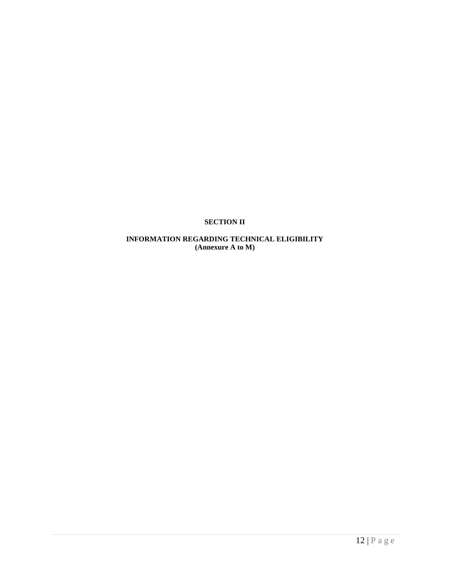#### **SECTION II**

### **INFORMATION REGARDING TECHNICAL ELIGIBILITY (Annexure A to M)**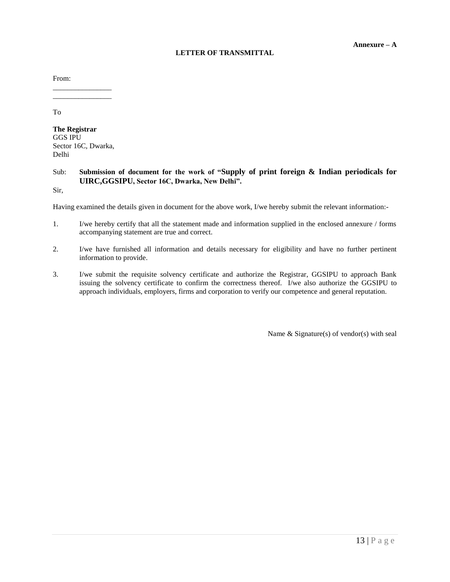#### **LETTER OF TRANSMITTAL**

From:

To

**The Registrar** GGS IPU Sector 16C, Dwarka, Delhi

\_\_\_\_\_\_\_\_\_\_\_\_\_\_\_\_ \_\_\_\_\_\_\_\_\_\_\_\_\_\_\_\_

#### Sub: **Submission of document for the work of "Supply of print foreign & Indian periodicals for UIRC,GGSIPU, Sector 16C, Dwarka, New Delhi".**

Sir,

Having examined the details given in document for the above work, I/we hereby submit the relevant information:-

- 1. I/we hereby certify that all the statement made and information supplied in the enclosed annexure / forms accompanying statement are true and correct.
- 2. I/we have furnished all information and details necessary for eligibility and have no further pertinent information to provide.
- 3. I/we submit the requisite solvency certificate and authorize the Registrar, GGSIPU to approach Bank issuing the solvency certificate to confirm the correctness thereof. I/we also authorize the GGSIPU to approach individuals, employers, firms and corporation to verify our competence and general reputation.

Name & Signature(s) of vendor(s) with seal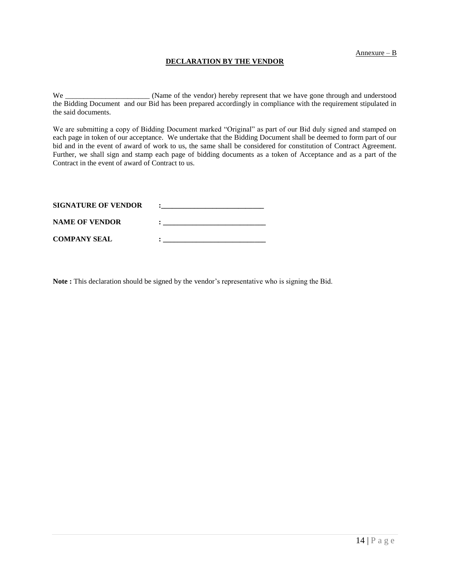#### **DECLARATION BY THE VENDOR**

We \_\_\_\_\_\_\_\_\_\_\_\_\_\_\_\_\_\_\_\_\_\_\_\_\_\_\_\_\_\_\_\_ (Name of the vendor) hereby represent that we have gone through and understood the Bidding Document and our Bid has been prepared accordingly in compliance with the requirement stipulated in the said documents.

We are submitting a copy of Bidding Document marked "Original" as part of our Bid duly signed and stamped on each page in token of our acceptance. We undertake that the Bidding Document shall be deemed to form part of our bid and in the event of award of work to us, the same shall be considered for constitution of Contract Agreement. Further, we shall sign and stamp each page of bidding documents as a token of Acceptance and as a part of the Contract in the event of award of Contract to us.

| <b>SIGNATURE OF VENDOR</b> |  |
|----------------------------|--|
| <b>NAME OF VENDOR</b>      |  |
| <b>COMPANY SEAL</b>        |  |

**Note :** This declaration should be signed by the vendor's representative who is signing the Bid.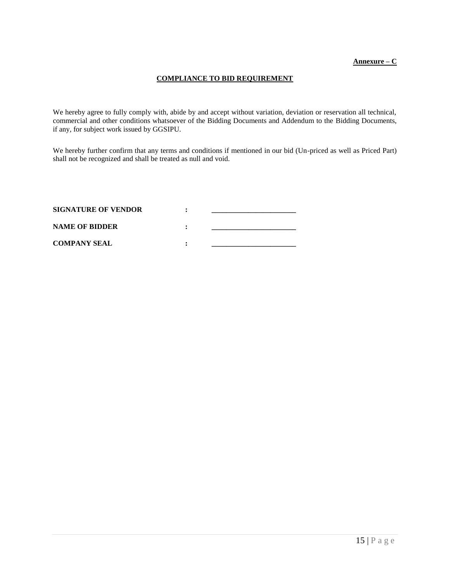#### **COMPLIANCE TO BID REQUIREMENT**

We hereby agree to fully comply with, abide by and accept without variation, deviation or reservation all technical, commercial and other conditions whatsoever of the Bidding Documents and Addendum to the Bidding Documents, if any, for subject work issued by GGSIPU.

We hereby further confirm that any terms and conditions if mentioned in our bid (Un-priced as well as Priced Part) shall not be recognized and shall be treated as null and void.

| <b>SIGNATURE OF VENDOR</b> |  |
|----------------------------|--|
| <b>NAME OF BIDDER</b>      |  |
| <b>COMPANY SEAL</b>        |  |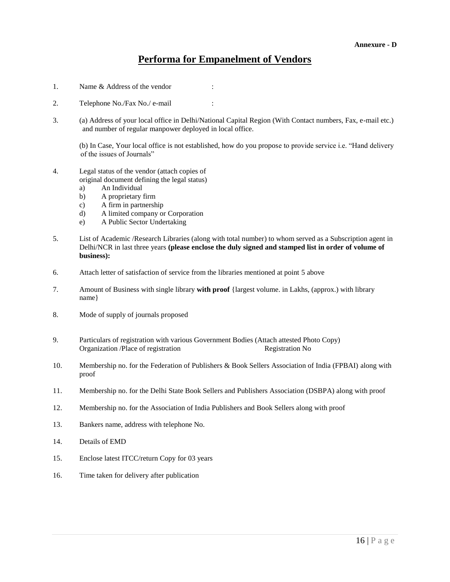### **Performa for Empanelment of Vendors**

- 1. Name & Address of the vendor :
- 2. Telephone No./Fax No./ e-mail :
- 3. (a) Address of your local office in Delhi/National Capital Region (With Contact numbers, Fax, e-mail etc.) and number of regular manpower deployed in local office.

(b) In Case, Your local office is not established, how do you propose to provide service i.e. "Hand delivery of the issues of Journals"

- 4. Legal status of the vendor (attach copies of original document defining the legal status)
	- a) An Individual
	- b) A proprietary firm
	- c) A firm in partnership
	- d) A limited company or Corporation
	- e) A Public Sector Undertaking
- 5. List of Academic /Research Libraries (along with total number) to whom served as a Subscription agent in Delhi/NCR in last three years **(please enclose the duly signed and stamped list in order of volume of business):**
- 6. Attach letter of satisfaction of service from the libraries mentioned at point 5 above
- 7. Amount of Business with single library **with proof** {largest volume. in Lakhs, (approx.) with library name}
- 8. Mode of supply of journals proposed
- 9. Particulars of registration with various Government Bodies (Attach attested Photo Copy) Organization /Place of registration Registration No
- 10. Membership no. for the Federation of Publishers & Book Sellers Association of India (FPBAI) along with proof
- 11. Membership no. for the Delhi State Book Sellers and Publishers Association (DSBPA) along with proof
- 12. Membership no. for the Association of India Publishers and Book Sellers along with proof
- 13. Bankers name, address with telephone No.
- 14. Details of EMD
- 15. Enclose latest ITCC/return Copy for 03 years
- 16. Time taken for delivery after publication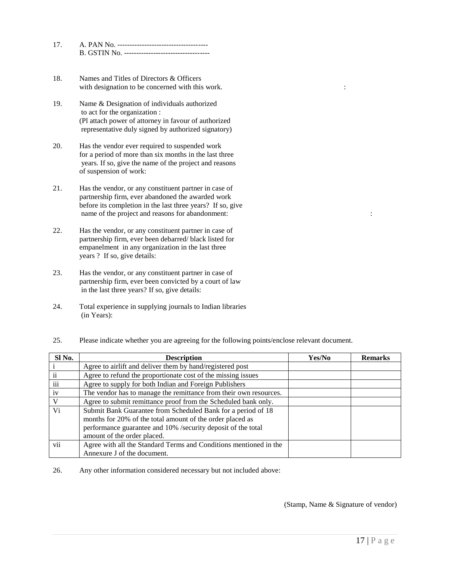| 17 | A. PAN No.<br>--------------------------------- |
|----|-------------------------------------------------|
|    |                                                 |

- 18. Names and Titles of Directors & Officers with designation to be concerned with this work.  $\cdot$
- 19. Name & Designation of individuals authorized to act for the organization : (Pl attach power of attorney in favour of authorized representative duly signed by authorized signatory)
- 20. Has the vendor ever required to suspended work for a period of more than six months in the last three years. If so, give the name of the project and reasons of suspension of work:
- 21. Has the vendor, or any constituent partner in case of partnership firm, ever abandoned the awarded work before its completion in the last three years? If so, give name of the project and reasons for abandonment: :
- 22. Has the vendor, or any constituent partner in case of partnership firm, ever been debarred/ black listed for empanelment in any organization in the last three years ? If so, give details:
- 23. Has the vendor, or any constituent partner in case of partnership firm, ever been convicted by a court of law in the last three years? If so, give details:
- 24. Total experience in supplying journals to Indian libraries (in Years):
- 25. Please indicate whether you are agreeing for the following points/enclose relevant document.

| Sl No. | <b>Description</b>                                                                                                                                                                                                       | Yes/No | <b>Remarks</b> |
|--------|--------------------------------------------------------------------------------------------------------------------------------------------------------------------------------------------------------------------------|--------|----------------|
|        | Agree to airlift and deliver them by hand/registered post                                                                                                                                                                |        |                |
| ii     | Agree to refund the proportionate cost of the missing issues                                                                                                                                                             |        |                |
| iii    | Agree to supply for both Indian and Foreign Publishers                                                                                                                                                                   |        |                |
| iv     | The vendor has to manage the remittance from their own resources.                                                                                                                                                        |        |                |
| V      | Agree to submit remittance proof from the Scheduled bank only.                                                                                                                                                           |        |                |
| Vi     | Submit Bank Guarantee from Scheduled Bank for a period of 18<br>months for 20% of the total amount of the order placed as<br>performance guarantee and 10% /security deposit of the total<br>amount of the order placed. |        |                |
| vii    | Agree with all the Standard Terms and Conditions mentioned in the<br>Annexure J of the document.                                                                                                                         |        |                |

26. Any other information considered necessary but not included above:

(Stamp, Name & Signature of vendor)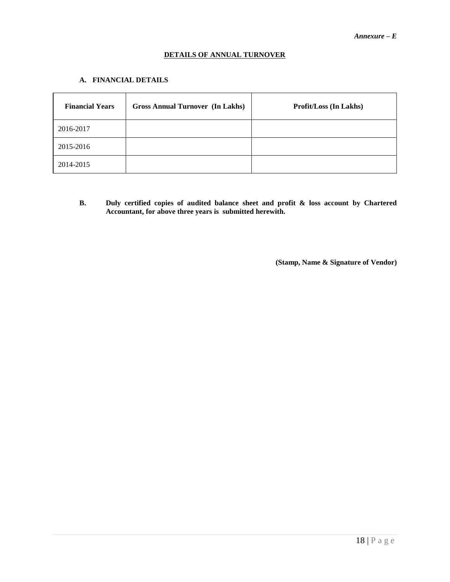#### **DETAILS OF ANNUAL TURNOVER**

#### **A. FINANCIAL DETAILS**

| <b>Financial Years</b> | <b>Gross Annual Turnover (In Lakhs)</b> | <b>Profit/Loss (In Lakhs)</b> |
|------------------------|-----------------------------------------|-------------------------------|
| 2016-2017              |                                         |                               |
| 2015-2016              |                                         |                               |
| 2014-2015              |                                         |                               |

**B. Duly certified copies of audited balance sheet and profit & loss account by Chartered Accountant, for above three years is submitted herewith.** 

 **(Stamp, Name & Signature of Vendor)**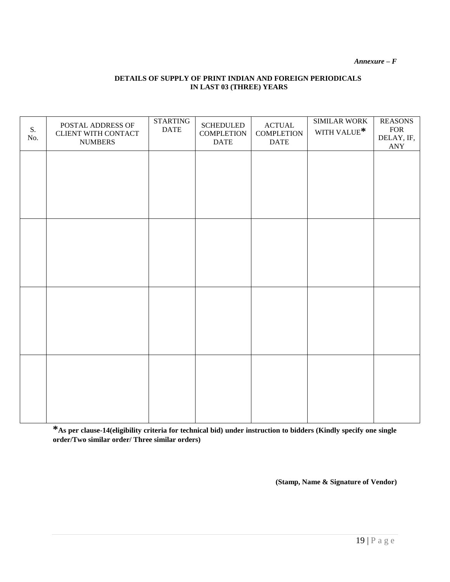*Annexure – F*

#### **DETAILS OF SUPPLY OF PRINT INDIAN AND FOREIGN PERIODICALS IN LAST 03 (THREE) YEARS**

| S.<br>No. | POSTAL ADDRESS OF<br>CLIENT WITH CONTACT<br><b>NUMBERS</b> | <b>STARTING</b><br><b>DATE</b> | <b>SCHEDULED</b><br><b>COMPLETION</b><br><b>DATE</b> | <b>ACTUAL</b><br><b>COMPLETION</b><br><b>DATE</b> | SIMILAR WORK<br>WITH VALUE* | <b>REASONS</b><br>${\rm FOR}$<br>DELAY, IF,<br>ANY |
|-----------|------------------------------------------------------------|--------------------------------|------------------------------------------------------|---------------------------------------------------|-----------------------------|----------------------------------------------------|
|           |                                                            |                                |                                                      |                                                   |                             |                                                    |
|           |                                                            |                                |                                                      |                                                   |                             |                                                    |
|           |                                                            |                                |                                                      |                                                   |                             |                                                    |
|           |                                                            |                                |                                                      |                                                   |                             |                                                    |
|           |                                                            |                                |                                                      |                                                   |                             |                                                    |
|           |                                                            |                                |                                                      |                                                   |                             |                                                    |
|           |                                                            |                                |                                                      |                                                   |                             |                                                    |
|           |                                                            |                                |                                                      |                                                   |                             |                                                    |

**\*As per clause-14(eligibility criteria for technical bid) under instruction to bidders (Kindly specify one single order/Two similar order/ Three similar orders)**

**(Stamp, Name & Signature of Vendor)**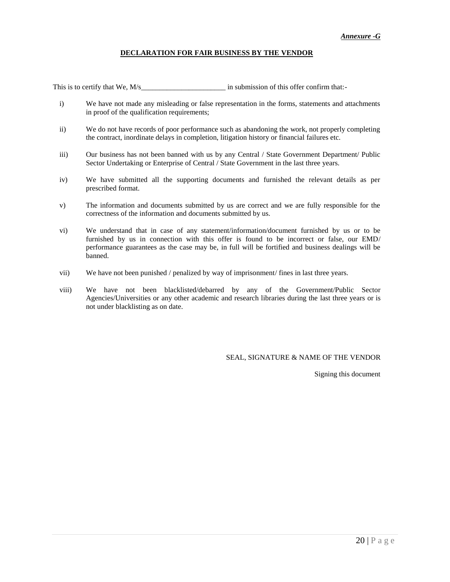#### **DECLARATION FOR FAIR BUSINESS BY THE VENDOR**

This is to certify that We, M/s and the submission of this offer confirm that:-

- i) We have not made any misleading or false representation in the forms, statements and attachments in proof of the qualification requirements;
- ii) We do not have records of poor performance such as abandoning the work, not properly completing the contract, inordinate delays in completion, litigation history or financial failures etc.
- iii) Our business has not been banned with us by any Central / State Government Department/ Public Sector Undertaking or Enterprise of Central / State Government in the last three years.
- iv) We have submitted all the supporting documents and furnished the relevant details as per prescribed format.
- v) The information and documents submitted by us are correct and we are fully responsible for the correctness of the information and documents submitted by us.
- vi) We understand that in case of any statement/information/document furnished by us or to be furnished by us in connection with this offer is found to be incorrect or false, our EMD/ performance guarantees as the case may be, in full will be fortified and business dealings will be banned.
- vii) We have not been punished / penalized by way of imprisonment/ fines in last three years.
- viii) We have not been blacklisted/debarred by any of the Government/Public Sector Agencies/Universities or any other academic and research libraries during the last three years or is not under blacklisting as on date.

SEAL, SIGNATURE & NAME OF THE VENDOR

Signing this document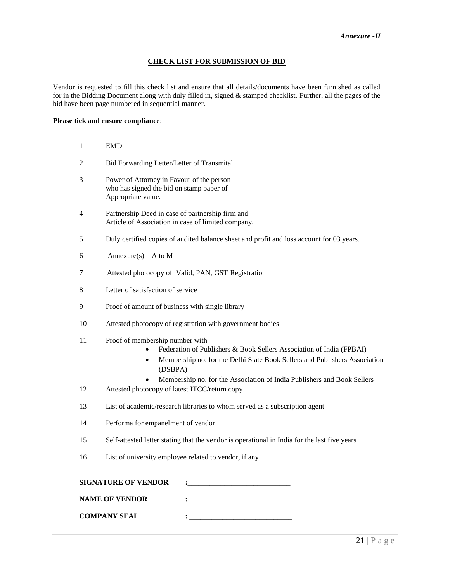#### **CHECK LIST FOR SUBMISSION OF BID**

Vendor is requested to fill this check list and ensure that all details/documents have been furnished as called for in the Bidding Document along with duly filled in, signed & stamped checklist. Further, all the pages of the bid have been page numbered in sequential manner.

#### **Please tick and ensure compliance**:

| 1  | <b>EMD</b>                                                                                                                                                                                                    |  |
|----|---------------------------------------------------------------------------------------------------------------------------------------------------------------------------------------------------------------|--|
| 2  | Bid Forwarding Letter/Letter of Transmital.                                                                                                                                                                   |  |
| 3  | Power of Attorney in Favour of the person<br>who has signed the bid on stamp paper of<br>Appropriate value.                                                                                                   |  |
| 4  | Partnership Deed in case of partnership firm and<br>Article of Association in case of limited company.                                                                                                        |  |
| 5  | Duly certified copies of audited balance sheet and profit and loss account for 03 years.                                                                                                                      |  |
| 6  | Annexure(s) – A to M                                                                                                                                                                                          |  |
| 7  | Attested photocopy of Valid, PAN, GST Registration                                                                                                                                                            |  |
| 8  | Letter of satisfaction of service                                                                                                                                                                             |  |
| 9  | Proof of amount of business with single library                                                                                                                                                               |  |
| 10 | Attested photocopy of registration with government bodies                                                                                                                                                     |  |
| 11 | Proof of membership number with<br>Federation of Publishers & Book Sellers Association of India (FPBAI)<br>Membership no. for the Delhi State Book Sellers and Publishers Association<br>$\bullet$<br>(DSBPA) |  |
| 12 | Membership no. for the Association of India Publishers and Book Sellers<br>Attested photocopy of latest ITCC/return copy                                                                                      |  |
| 13 | List of academic/research libraries to whom served as a subscription agent                                                                                                                                    |  |
| 14 | Performa for empanelment of vendor                                                                                                                                                                            |  |
| 15 | Self-attested letter stating that the vendor is operational in India for the last five years                                                                                                                  |  |
| 16 | List of university employee related to vendor, if any                                                                                                                                                         |  |
|    | <b>SIGNATURE OF VENDOR</b>                                                                                                                                                                                    |  |
|    | $\frac{1}{2}$ . The contract of the contract of $\frac{1}{2}$<br><b>NAME OF VENDOR</b>                                                                                                                        |  |
|    | <b>COMPANY SEAL</b><br>:                                                                                                                                                                                      |  |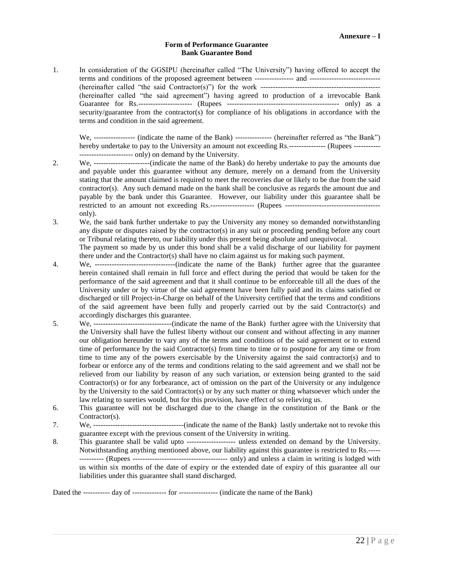#### **Form of Performance Guarantee Bank Guarantee Bond**

1. In consideration of the GGSIPU (hereinafter called "The University") having offered to accept the terms and conditions of the proposed agreement between ---------------- and ----------------------------- (hereinafter called "the said Contractor(s)") for the work ------------------------------------------------- (hereinafter called "the said agreement") having agreed to production of a irrevocable Bank Guarantee for Rs.---------------------- (Rupees ---------------------------------------------- only) as a security/guarantee from the contractor(s) for compliance of his obligations in accordance with the terms and condition in the said agreement.

We, ------------------ (indicate the name of the Bank) --------------- (hereinafter referred as "the Bank") hereby undertake to pay to the University an amount not exceeding Rs.--------------- (Rupees ---------------------------------- only) on demand by the University.

- 2. We, -----------------------(indicate the name of the Bank) do hereby undertake to pay the amounts due and payable under this guarantee without any demure, merely on a demand from the University stating that the amount claimed is required to meet the recoveries due or likely to be due from the said contractor(s). Any such demand made on the bank shall be conclusive as regards the amount due and payable by the bank under this Guarantee. However, our liability under this guarantee shall be restricted to an amount not exceeding Rs.------------------ (Rupees -------------------------------------- only).
- 3. We, the said bank further undertake to pay the University any money so demanded notwithstanding any dispute or disputes raised by the contractor(s) in any suit or proceeding pending before any court or Tribunal relating thereto, our liability under this present being absolute and unequivocal.

The payment so made by us under this bond shall be a valid discharge of our liability for payment there under and the Contractor(s) shall have no claim against us for making such payment.

- 4. We, ---------------------------------(indicate the name of the Bank) further agree that the guarantee herein contained shall remain in full force and effect during the period that would be taken for the performance of the said agreement and that it shall continue to be enforceable till all the dues of the University under or by virtue of the said agreement have been fully paid and its claims satisfied or discharged or till Project-in-Charge on behalf of the University certified that the terms and conditions of the said agreement have been fully and properly carried out by the said Contractor(s) and accordingly discharges this guarantee.
- 5. We, --------------------------------(indicate the name of the Bank) further agree with the University that the University shall have the fullest liberty without our consent and without affecting in any manner our obligation hereunder to vary any of the terms and conditions of the said agreement or to extend time of performance by the said Contractor(s) from time to time or to postpone for any time or from time to time any of the powers exercisable by the University against the said contractor(s) and to forbear or enforce any of the terms and conditions relating to the said agreement and we shall not be relieved from our liability by reason of any such variation, or extension being granted to the said Contractor(s) or for any forbearance, act of omission on the part of the University or any indulgence by the University to the said Contractor(s) or by any such matter or thing whatsoever which under the law relating to sureties would, but for this provision, have effect of so relieving us.
- 6. This guarantee will not be discharged due to the change in the constitution of the Bank or the Contractor(s).
- 7. We, -------------------------------------(indicate the name of the Bank) lastly undertake not to revoke this guarantee except with the previous consent of the University in writing.
- 8. This guarantee shall be valid upto -------------------- unless extended on demand by the University. Notwithstanding anything mentioned above, our liability against this guarantee is restricted to Rs.----- ---------- (Rupees --------------------------------------- only) and unless a claim in writing is lodged with us within six months of the date of expiry or the extended date of expiry of this guarantee all our liabilities under this guarantee shall stand discharged.

Dated the ----------- day of -------------- for ---------------- (indicate the name of the Bank)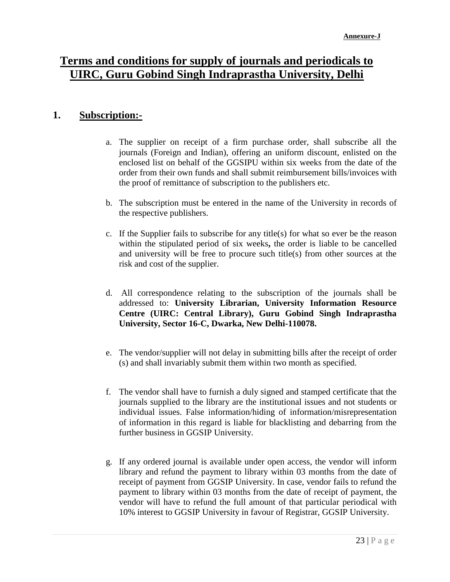## **Terms and conditions for supply of journals and periodicals to UIRC, Guru Gobind Singh Indraprastha University, Delhi**

### **1. Subscription:-**

- a. The supplier on receipt of a firm purchase order, shall subscribe all the journals (Foreign and Indian), offering an uniform discount, enlisted on the enclosed list on behalf of the GGSIPU within six weeks from the date of the order from their own funds and shall submit reimbursement bills/invoices with the proof of remittance of subscription to the publishers etc.
- b. The subscription must be entered in the name of the University in records of the respective publishers.
- c. If the Supplier fails to subscribe for any title(s) for what so ever be the reason within the stipulated period of six weeks**,** the order is liable to be cancelled and university will be free to procure such title(s) from other sources at the risk and cost of the supplier.
- d. All correspondence relating to the subscription of the journals shall be addressed to: **University Librarian, University Information Resource Centre (UIRC: Central Library), Guru Gobind Singh Indraprastha University, Sector 16-C, Dwarka, New Delhi-110078.**
- e. The vendor/supplier will not delay in submitting bills after the receipt of order (s) and shall invariably submit them within two month as specified.
- f. The vendor shall have to furnish a duly signed and stamped certificate that the journals supplied to the library are the institutional issues and not students or individual issues. False information/hiding of information/misrepresentation of information in this regard is liable for blacklisting and debarring from the further business in GGSIP University.
- g. If any ordered journal is available under open access, the vendor will inform library and refund the payment to library within 03 months from the date of receipt of payment from GGSIP University. In case, vendor fails to refund the payment to library within 03 months from the date of receipt of payment, the vendor will have to refund the full amount of that particular periodical with 10% interest to GGSIP University in favour of Registrar, GGSIP University.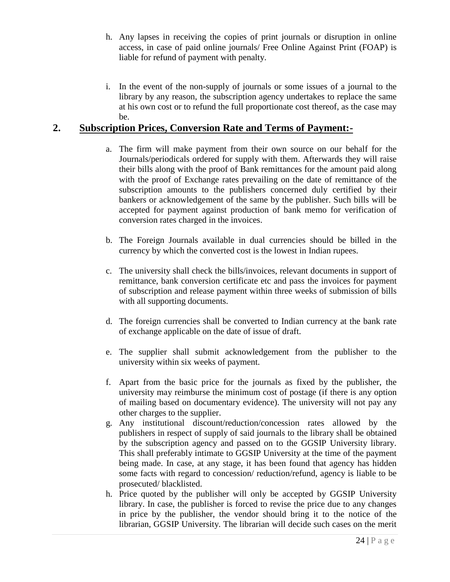- h. Any lapses in receiving the copies of print journals or disruption in online access, in case of paid online journals/ Free Online Against Print (FOAP) is liable for refund of payment with penalty.
- i. In the event of the non-supply of journals or some issues of a journal to the library by any reason, the subscription agency undertakes to replace the same at his own cost or to refund the full proportionate cost thereof, as the case may be.

### **2. Subscription Prices, Conversion Rate and Terms of Payment:-**

- a. The firm will make payment from their own source on our behalf for the Journals/periodicals ordered for supply with them. Afterwards they will raise their bills along with the proof of Bank remittances for the amount paid along with the proof of Exchange rates prevailing on the date of remittance of the subscription amounts to the publishers concerned duly certified by their bankers or acknowledgement of the same by the publisher. Such bills will be accepted for payment against production of bank memo for verification of conversion rates charged in the invoices.
- b. The Foreign Journals available in dual currencies should be billed in the currency by which the converted cost is the lowest in Indian rupees.
- c. The university shall check the bills/invoices, relevant documents in support of remittance, bank conversion certificate etc and pass the invoices for payment of subscription and release payment within three weeks of submission of bills with all supporting documents.
- d. The foreign currencies shall be converted to Indian currency at the bank rate of exchange applicable on the date of issue of draft.
- e. The supplier shall submit acknowledgement from the publisher to the university within six weeks of payment.
- f. Apart from the basic price for the journals as fixed by the publisher, the university may reimburse the minimum cost of postage (if there is any option of mailing based on documentary evidence). The university will not pay any other charges to the supplier.
- g. Any institutional discount/reduction/concession rates allowed by the publishers in respect of supply of said journals to the library shall be obtained by the subscription agency and passed on to the GGSIP University library. This shall preferably intimate to GGSIP University at the time of the payment being made. In case, at any stage, it has been found that agency has hidden some facts with regard to concession/ reduction/refund, agency is liable to be prosecuted/ blacklisted.
- h. Price quoted by the publisher will only be accepted by GGSIP University library. In case, the publisher is forced to revise the price due to any changes in price by the publisher, the vendor should bring it to the notice of the librarian, GGSIP University. The librarian will decide such cases on the merit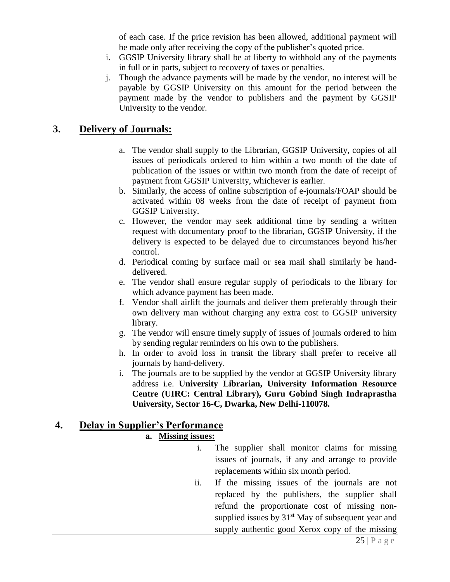of each case. If the price revision has been allowed, additional payment will be made only after receiving the copy of the publisher's quoted price.

- i. GGSIP University library shall be at liberty to withhold any of the payments in full or in parts, subject to recovery of taxes or penalties.
- j. Though the advance payments will be made by the vendor, no interest will be payable by GGSIP University on this amount for the period between the payment made by the vendor to publishers and the payment by GGSIP University to the vendor.

### **3. Delivery of Journals:**

- a. The vendor shall supply to the Librarian, GGSIP University, copies of all issues of periodicals ordered to him within a two month of the date of publication of the issues or within two month from the date of receipt of payment from GGSIP University, whichever is earlier.
- b. Similarly, the access of online subscription of e-journals/FOAP should be activated within 08 weeks from the date of receipt of payment from GGSIP University.
- c. However, the vendor may seek additional time by sending a written request with documentary proof to the librarian, GGSIP University, if the delivery is expected to be delayed due to circumstances beyond his/her control.
- d. Periodical coming by surface mail or sea mail shall similarly be handdelivered.
- e. The vendor shall ensure regular supply of periodicals to the library for which advance payment has been made.
- f. Vendor shall airlift the journals and deliver them preferably through their own delivery man without charging any extra cost to GGSIP university library.
- g. The vendor will ensure timely supply of issues of journals ordered to him by sending regular reminders on his own to the publishers.
- h. In order to avoid loss in transit the library shall prefer to receive all journals by hand-delivery.
- i. The journals are to be supplied by the vendor at GGSIP University library address i.e. **University Librarian, University Information Resource Centre (UIRC: Central Library), Guru Gobind Singh Indraprastha University, Sector 16-C, Dwarka, New Delhi-110078.**

### **4. Delay in Supplier's Performance**

### **a. Missing issues:**

- i. The supplier shall monitor claims for missing issues of journals, if any and arrange to provide replacements within six month period.
- ii. If the missing issues of the journals are not replaced by the publishers, the supplier shall refund the proportionate cost of missing nonsupplied issues by  $31<sup>st</sup>$  May of subsequent year and supply authentic good Xerox copy of the missing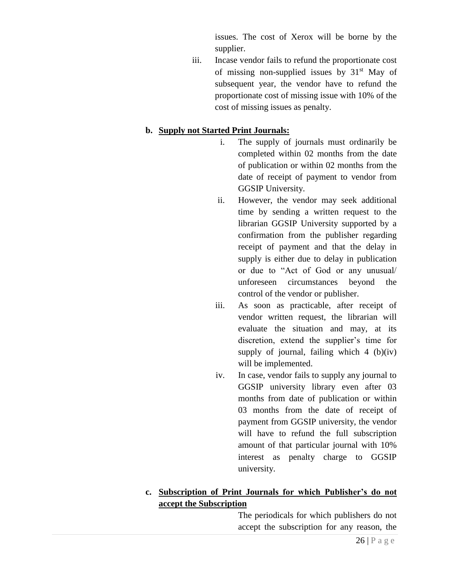issues. The cost of Xerox will be borne by the supplier.

iii. Incase vendor fails to refund the proportionate cost of missing non-supplied issues by  $31<sup>st</sup>$  May of subsequent year, the vendor have to refund the proportionate cost of missing issue with 10% of the cost of missing issues as penalty.

### **b. Supply not Started Print Journals:**

- i. The supply of journals must ordinarily be completed within 02 months from the date of publication or within 02 months from the date of receipt of payment to vendor from GGSIP University.
- ii. However, the vendor may seek additional time by sending a written request to the librarian GGSIP University supported by a confirmation from the publisher regarding receipt of payment and that the delay in supply is either due to delay in publication or due to "Act of God or any unusual/ unforeseen circumstances beyond the control of the vendor or publisher.
- iii. As soon as practicable, after receipt of vendor written request, the librarian will evaluate the situation and may, at its discretion, extend the supplier's time for supply of journal, failing which  $4$  (b)(iv) will be implemented.
- iv. In case, vendor fails to supply any journal to GGSIP university library even after 03 months from date of publication or within 03 months from the date of receipt of payment from GGSIP university, the vendor will have to refund the full subscription amount of that particular journal with 10% interest as penalty charge to GGSIP university.

### **c. Subscription of Print Journals for which Publisher's do not accept the Subscription**

The periodicals for which publishers do not accept the subscription for any reason, the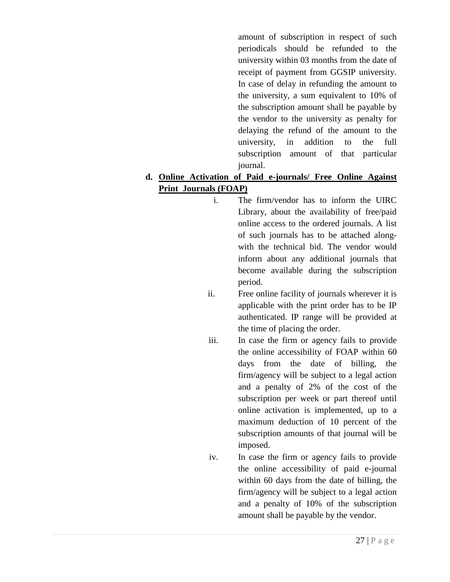amount of subscription in respect of such periodicals should be refunded to the university within 03 months from the date of receipt of payment from GGSIP university. In case of delay in refunding the amount to the university, a sum equivalent to 10% of the subscription amount shall be payable by the vendor to the university as penalty for delaying the refund of the amount to the university, in addition to the full subscription amount of that particular journal.

### **d. Online Activation of Paid e-journals/ Free Online Against Print Journals (FOAP)**

- i. The firm/vendor has to inform the UIRC Library, about the availability of free/paid online access to the ordered journals. A list of such journals has to be attached alongwith the technical bid. The vendor would inform about any additional journals that become available during the subscription period.
- ii. Free online facility of journals wherever it is applicable with the print order has to be IP authenticated. IP range will be provided at the time of placing the order.
- iii. In case the firm or agency fails to provide the online accessibility of FOAP within 60 days from the date of billing, the firm/agency will be subject to a legal action and a penalty of 2% of the cost of the subscription per week or part thereof until online activation is implemented, up to a maximum deduction of 10 percent of the subscription amounts of that journal will be imposed.
- iv. In case the firm or agency fails to provide the online accessibility of paid e-journal within 60 days from the date of billing, the firm/agency will be subject to a legal action and a penalty of 10% of the subscription amount shall be payable by the vendor.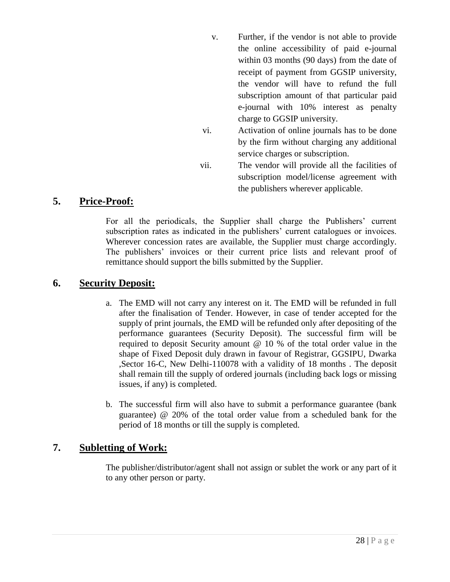- v. Further, if the vendor is not able to provide the online accessibility of paid e-journal within 03 months (90 days) from the date of receipt of payment from GGSIP university, the vendor will have to refund the full subscription amount of that particular paid e-journal with 10% interest as penalty charge to GGSIP university.
- vi. Activation of online journals has to be done by the firm without charging any additional service charges or subscription.
- vii. The vendor will provide all the facilities of subscription model/license agreement with the publishers wherever applicable.

### **5. Price-Proof:**

For all the periodicals, the Supplier shall charge the Publishers' current subscription rates as indicated in the publishers' current catalogues or invoices. Wherever concession rates are available, the Supplier must charge accordingly. The publishers' invoices or their current price lists and relevant proof of remittance should support the bills submitted by the Supplier.

### **6. Security Deposit:**

- a. The EMD will not carry any interest on it. The EMD will be refunded in full after the finalisation of Tender. However, in case of tender accepted for the supply of print journals, the EMD will be refunded only after depositing of the performance guarantees (Security Deposit). The successful firm will be required to deposit Security amount @ 10 % of the total order value in the shape of Fixed Deposit duly drawn in favour of Registrar, GGSIPU, Dwarka ,Sector 16-C, New Delhi-110078 with a validity of 18 months . The deposit shall remain till the supply of ordered journals (including back logs or missing issues, if any) is completed.
- b. The successful firm will also have to submit a performance guarantee (bank guarantee) @ 20% of the total order value from a scheduled bank for the period of 18 months or till the supply is completed.

### **7. Subletting of Work:**

The publisher/distributor/agent shall not assign or sublet the work or any part of it to any other person or party.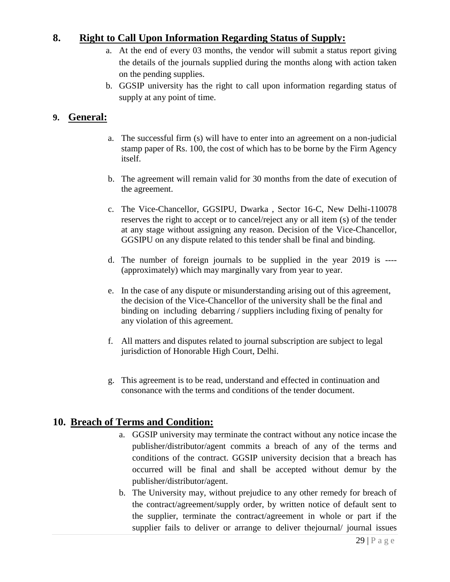### **8. Right to Call Upon Information Regarding Status of Supply:**

- a. At the end of every 03 months, the vendor will submit a status report giving the details of the journals supplied during the months along with action taken on the pending supplies.
- b. GGSIP university has the right to call upon information regarding status of supply at any point of time.

### **9. General:**

- a. The successful firm (s) will have to enter into an agreement on a non-judicial stamp paper of Rs. 100, the cost of which has to be borne by the Firm Agency itself.
- b. The agreement will remain valid for 30 months from the date of execution of the agreement.
- c. The Vice-Chancellor, GGSIPU, Dwarka , Sector 16-C, New Delhi-110078 reserves the right to accept or to cancel/reject any or all item (s) of the tender at any stage without assigning any reason. Decision of the Vice-Chancellor, GGSIPU on any dispute related to this tender shall be final and binding.
- d. The number of foreign journals to be supplied in the year 2019 is ---- (approximately) which may marginally vary from year to year.
- e. In the case of any dispute or misunderstanding arising out of this agreement, the decision of the Vice-Chancellor of the university shall be the final and binding on including debarring / suppliers including fixing of penalty for any violation of this agreement.
- f. All matters and disputes related to journal subscription are subject to legal jurisdiction of Honorable High Court, Delhi.
- g. This agreement is to be read, understand and effected in continuation and consonance with the terms and conditions of the tender document.

### **10. Breach of Terms and Condition:**

- a. GGSIP university may terminate the contract without any notice incase the publisher/distributor/agent commits a breach of any of the terms and conditions of the contract. GGSIP university decision that a breach has occurred will be final and shall be accepted without demur by the publisher/distributor/agent.
- b. The University may, without prejudice to any other remedy for breach of the contract/agreement/supply order, by written notice of default sent to the supplier, terminate the contract/agreement in whole or part if the supplier fails to deliver or arrange to deliver the journal/ journal issues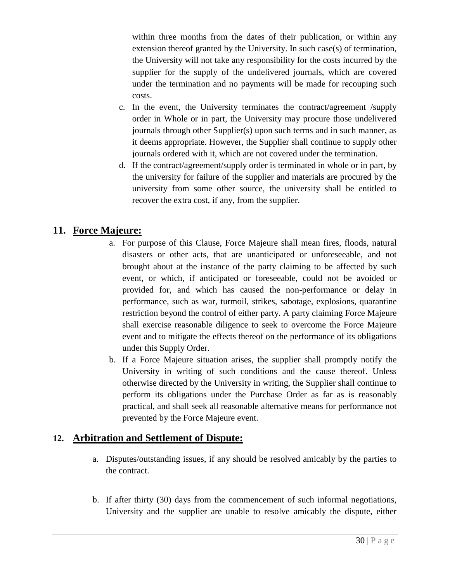within three months from the dates of their publication, or within any extension thereof granted by the University. In such case(s) of termination, the University will not take any responsibility for the costs incurred by the supplier for the supply of the undelivered journals, which are covered under the termination and no payments will be made for recouping such costs.

- c. In the event, the University terminates the contract/agreement /supply order in Whole or in part, the University may procure those undelivered journals through other Supplier(s) upon such terms and in such manner, as it deems appropriate. However, the Supplier shall continue to supply other journals ordered with it, which are not covered under the termination.
- d. If the contract/agreement/supply order is terminated in whole or in part, by the university for failure of the supplier and materials are procured by the university from some other source, the university shall be entitled to recover the extra cost, if any, from the supplier.

### **11. Force Majeure:**

- a. For purpose of this Clause, Force Majeure shall mean fires, floods, natural disasters or other acts, that are unanticipated or unforeseeable, and not brought about at the instance of the party claiming to be affected by such event, or which, if anticipated or foreseeable, could not be avoided or provided for, and which has caused the non-performance or delay in performance, such as war, turmoil, strikes, sabotage, explosions, quarantine restriction beyond the control of either party. A party claiming Force Majeure shall exercise reasonable diligence to seek to overcome the Force Majeure event and to mitigate the effects thereof on the performance of its obligations under this Supply Order.
- b. If a Force Majeure situation arises, the supplier shall promptly notify the University in writing of such conditions and the cause thereof. Unless otherwise directed by the University in writing, the Supplier shall continue to perform its obligations under the Purchase Order as far as is reasonably practical, and shall seek all reasonable alternative means for performance not prevented by the Force Majeure event.

### **12. Arbitration and Settlement of Dispute:**

- a. Disputes/outstanding issues, if any should be resolved amicably by the parties to the contract.
- b. If after thirty (30) days from the commencement of such informal negotiations, University and the supplier are unable to resolve amicably the dispute, either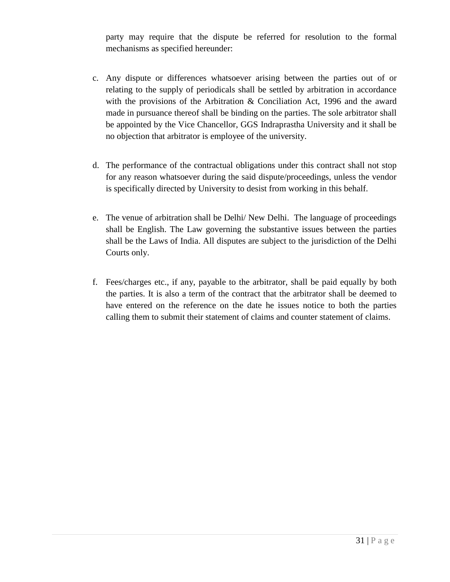party may require that the dispute be referred for resolution to the formal mechanisms as specified hereunder:

- c. Any dispute or differences whatsoever arising between the parties out of or relating to the supply of periodicals shall be settled by arbitration in accordance with the provisions of the Arbitration & Conciliation Act, 1996 and the award made in pursuance thereof shall be binding on the parties. The sole arbitrator shall be appointed by the Vice Chancellor, GGS Indraprastha University and it shall be no objection that arbitrator is employee of the university.
- d. The performance of the contractual obligations under this contract shall not stop for any reason whatsoever during the said dispute/proceedings, unless the vendor is specifically directed by University to desist from working in this behalf.
- e. The venue of arbitration shall be Delhi/ New Delhi. The language of proceedings shall be English. The Law governing the substantive issues between the parties shall be the Laws of India. All disputes are subject to the jurisdiction of the Delhi Courts only.
- f. Fees/charges etc., if any, payable to the arbitrator, shall be paid equally by both the parties. It is also a term of the contract that the arbitrator shall be deemed to have entered on the reference on the date he issues notice to both the parties calling them to submit their statement of claims and counter statement of claims.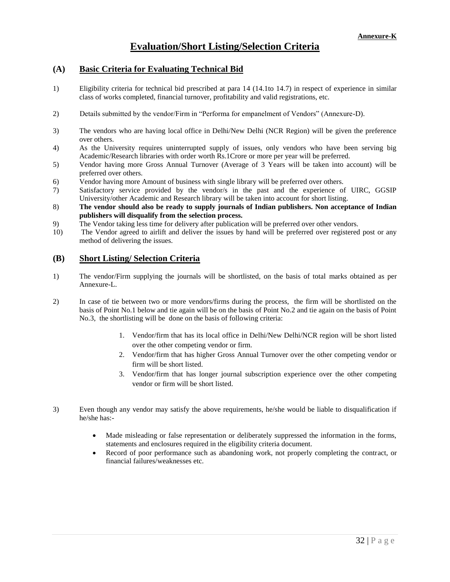### **Evaluation/Short Listing/Selection Criteria**

#### **(A) Basic Criteria for Evaluating Technical Bid**

- 1) Eligibility criteria for technical bid prescribed at para 14 (14.1to 14.7) in respect of experience in similar class of works completed, financial turnover, profitability and valid registrations, etc.
- 2) Details submitted by the vendor/Firm in "Performa for empanelment of Vendors" (Annexure-D).
- 3) The vendors who are having local office in Delhi/New Delhi (NCR Region) will be given the preference over others.
- 4) As the University requires uninterrupted supply of issues, only vendors who have been serving big Academic/Research libraries with order worth Rs.1Crore or more per year will be preferred.
- 5) Vendor having more Gross Annual Turnover (Average of 3 Years will be taken into account) will be preferred over others.
- 6) Vendor having more Amount of business with single library will be preferred over others.
- 7) Satisfactory service provided by the vendor/s in the past and the experience of UIRC, GGSIP University/other Academic and Research library will be taken into account for short listing.
- 8) **The vendor should also be ready to supply journals of Indian publishers. Non acceptance of Indian publishers will disqualify from the selection process.**
- 9) The Vendor taking less time for delivery after publication will be preferred over other vendors.
- 10) The Vendor agreed to airlift and deliver the issues by hand will be preferred over registered post or any method of delivering the issues.

#### **(B) Short Listing/ Selection Criteria**

- 1) The vendor/Firm supplying the journals will be shortlisted, on the basis of total marks obtained as per Annexure-L.
- 2) In case of tie between two or more vendors/firms during the process, the firm will be shortlisted on the basis of Point No.1 below and tie again will be on the basis of Point No.2 and tie again on the basis of Point No.3, the shortlisting will be done on the basis of following criteria:
	- 1. Vendor/firm that has its local office in Delhi/New Delhi/NCR region will be short listed over the other competing vendor or firm.
	- 2. Vendor/firm that has higher Gross Annual Turnover over the other competing vendor or firm will be short listed.
	- 3. Vendor/firm that has longer journal subscription experience over the other competing vendor or firm will be short listed.
- 3) Even though any vendor may satisfy the above requirements, he/she would be liable to disqualification if he/she has:-
	- Made misleading or false representation or deliberately suppressed the information in the forms, statements and enclosures required in the eligibility criteria document.
	- Record of poor performance such as abandoning work, not properly completing the contract, or financial failures/weaknesses etc.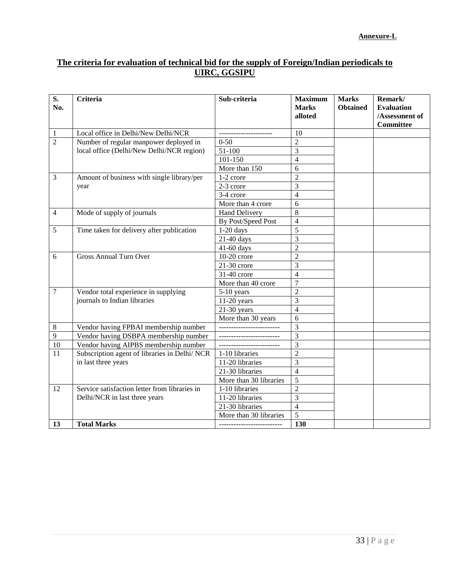### **The criteria for evaluation of technical bid for the supply of Foreign/Indian periodicals to UIRC, GGSIPU**

| $\overline{\mathbf{S}}$ .<br>No. | $\overline{C}$ riteria                        | Sub-criteria                | <b>Maximum</b><br><b>Marks</b><br>alloted | <b>Marks</b><br><b>Obtained</b> | Remark/<br><b>Evaluation</b><br>/Assessment of<br><b>Committee</b> |
|----------------------------------|-----------------------------------------------|-----------------------------|-------------------------------------------|---------------------------------|--------------------------------------------------------------------|
| $\mathbf{1}$                     | Local office in Delhi/New Delhi/NCR           |                             | 10                                        |                                 |                                                                    |
| $\overline{2}$                   | Number of regular manpower deployed in        | $0 - 50$                    | $\overline{2}$                            |                                 |                                                                    |
|                                  | local office (Delhi/New Delhi/NCR region)     | 51-100                      | $\overline{3}$                            |                                 |                                                                    |
|                                  |                                               | 101-150                     | $\overline{4}$                            |                                 |                                                                    |
|                                  |                                               | More than 150               | 6                                         |                                 |                                                                    |
| $\overline{3}$                   | Amount of business with single library/per    | 1-2 crore                   | $\overline{2}$                            |                                 |                                                                    |
|                                  | year                                          | 2-3 crore                   | 3                                         |                                 |                                                                    |
|                                  |                                               | 3-4 crore                   | $\overline{4}$                            |                                 |                                                                    |
|                                  |                                               | More than 4 crore           | 6                                         |                                 |                                                                    |
| $\overline{4}$                   | Mode of supply of journals                    | <b>Hand Delivery</b>        | 8                                         |                                 |                                                                    |
|                                  |                                               | By Post/Speed Post          | $\overline{4}$                            |                                 |                                                                    |
| 5                                | Time taken for delivery after publication     | $1-20$ days                 | 5                                         |                                 |                                                                    |
|                                  |                                               | 21-40 days                  | 3                                         |                                 |                                                                    |
|                                  |                                               | $\overline{4}$ 1-60 days    | $\overline{c}$                            |                                 |                                                                    |
| 6                                | <b>Gross Annual Turn Over</b>                 | 10-20 crore                 | $\overline{2}$                            |                                 |                                                                    |
|                                  |                                               | $21-30$ crore               | 3                                         |                                 |                                                                    |
|                                  |                                               | 31-40 crore                 | $\overline{4}$                            |                                 |                                                                    |
|                                  |                                               | More than 40 crore          | 7                                         |                                 |                                                                    |
| $\overline{7}$                   | Vendor total experience in supplying          | 5-10 years                  | $\overline{2}$                            |                                 |                                                                    |
|                                  | journals to Indian libraries                  | $11-20$ years               | 3                                         |                                 |                                                                    |
|                                  |                                               | $21-30$ years               | $\overline{4}$                            |                                 |                                                                    |
|                                  |                                               | More than 30 years          | 6                                         |                                 |                                                                    |
| $\,8\,$                          | Vendor having FPBAI membership number         | _______________________     | 3                                         |                                 |                                                                    |
| $\overline{9}$                   | Vendor having DSBPA membership number         | ___________________________ | 3                                         |                                 |                                                                    |
| 10                               | Vendor having AIPBS membership number         | _______________________     | 3                                         |                                 |                                                                    |
| $\overline{11}$                  | Subscription agent of libraries in Delhi/NCR  | 1-10 libraries              | $\overline{c}$                            |                                 |                                                                    |
|                                  | in last three years                           | 11-20 libraries             | $\overline{3}$                            |                                 |                                                                    |
|                                  |                                               | 21-30 libraries             | $\overline{4}$                            |                                 |                                                                    |
|                                  |                                               | More than 30 libraries      | $\overline{5}$                            |                                 |                                                                    |
| 12                               | Service satisfaction letter from libraries in | 1-10 libraries              | $\overline{2}$                            |                                 |                                                                    |
|                                  | Delhi/NCR in last three years                 | 11-20 libraries             | $\overline{3}$                            |                                 |                                                                    |
|                                  |                                               | 21-30 libraries             | $\overline{4}$                            |                                 |                                                                    |
|                                  |                                               | More than 30 libraries      | $\overline{5}$                            |                                 |                                                                    |
| 13                               | <b>Total Marks</b>                            |                             | 130                                       |                                 |                                                                    |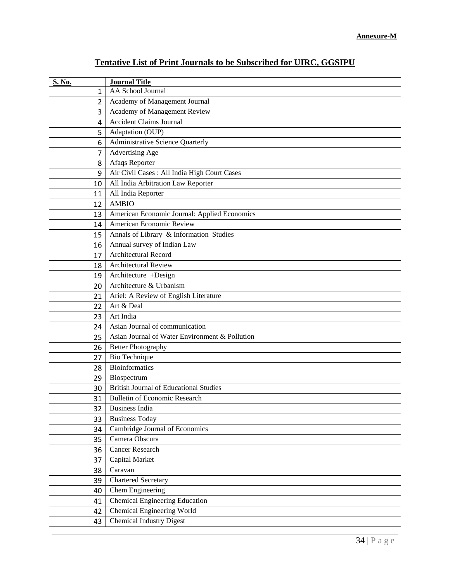| <b>S. No.</b> | <b>Journal Title</b>                           |
|---------------|------------------------------------------------|
| 1             | AA School Journal                              |
| 2             | Academy of Management Journal                  |
| 3             | Academy of Management Review                   |
| 4             | <b>Accident Claims Journal</b>                 |
| 5             | Adaptation (OUP)                               |
| 6             | Administrative Science Quarterly               |
| 7             | Advertising Age                                |
| 8             | Afaqs Reporter                                 |
| 9             | Air Civil Cases : All India High Court Cases   |
| 10            | All India Arbitration Law Reporter             |
| 11            | All India Reporter                             |
| 12            | <b>AMBIO</b>                                   |
| 13            | American Economic Journal: Applied Economics   |
| 14            | American Economic Review                       |
| 15            | Annals of Library & Information Studies        |
| 16            | Annual survey of Indian Law                    |
| 17            | Architectural Record                           |
| 18            | Architectural Review                           |
| 19            | Architecture +Design                           |
| 20            | Architecture & Urbanism                        |
| 21            | Ariel: A Review of English Literature          |
| 22            | Art & Deal                                     |
| 23            | Art India                                      |
| 24            | Asian Journal of communication                 |
| 25            | Asian Journal of Water Environment & Pollution |
| 26            | <b>Better Photography</b>                      |
| 27            | Bio Technique                                  |
| 28            | <b>Bioinformatics</b>                          |
| 29            | Biospectrum                                    |
| 30            | <b>British Journal of Educational Studies</b>  |
| 31            | <b>Bulletin of Economic Research</b>           |
| 32            | <b>Business India</b>                          |
| 33            | <b>Business Today</b>                          |
| 34            | Cambridge Journal of Economics                 |
| 35            | Camera Obscura                                 |
| 36            | Cancer Research                                |
| 37            | Capital Market                                 |
| 38            | Caravan                                        |
| 39            | Chartered Secretary                            |
| 40            | Chem Engineering                               |
| 41            | <b>Chemical Engineering Education</b>          |
| 42            | Chemical Engineering World                     |
| 43            | <b>Chemical Industry Digest</b>                |

### **Tentative List of Print Journals to be Subscribed for UIRC, GGSIPU**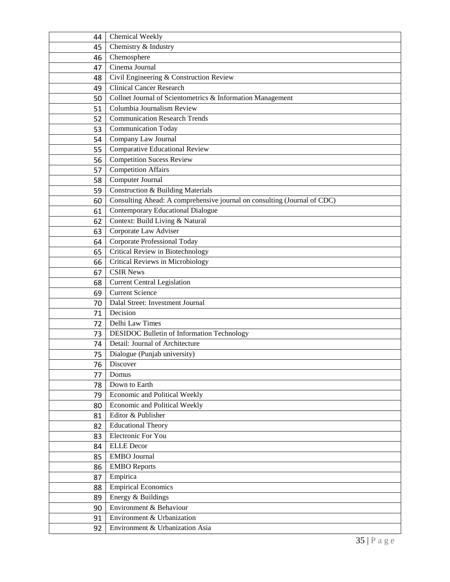| 44 | Chemical Weekly                                                          |
|----|--------------------------------------------------------------------------|
| 45 | Chemistry & Industry                                                     |
| 46 | Chemosphere                                                              |
| 47 | Cinema Journal                                                           |
| 48 | Civil Engineering & Construction Review                                  |
| 49 | <b>Clinical Cancer Research</b>                                          |
| 50 | Collnet Journal of Scientometrics & Information Management               |
| 51 | Columbia Journalism Review                                               |
| 52 | <b>Communication Research Trends</b>                                     |
| 53 | <b>Communication Today</b>                                               |
| 54 | Company Law Journal                                                      |
| 55 | Comparative Educational Review                                           |
| 56 | <b>Competition Sucess Review</b>                                         |
| 57 | <b>Competition Affairs</b>                                               |
| 58 | Computer Journal                                                         |
| 59 | <b>Construction &amp; Building Materials</b>                             |
| 60 | Consulting Ahead: A comprehensive journal on consulting (Journal of CDC) |
| 61 | Contemporary Educational Dialogue                                        |
| 62 | Context: Build Living & Natural                                          |
| 63 | Corporate Law Adviser                                                    |
| 64 | <b>Corporate Professional Today</b>                                      |
| 65 | Critical Review in Biotechnology                                         |
| 66 | Critical Reviews in Microbiology                                         |
| 67 | <b>CSIR News</b>                                                         |
| 68 | <b>Current Central Legislation</b>                                       |
| 69 | <b>Current Science</b>                                                   |
| 70 | Dalal Street: Investment Journal                                         |
| 71 | Decision                                                                 |
| 72 | Delhi Law Times                                                          |
| 73 | DESIDOC Bulletin of Information Technology                               |
| 74 | Detail: Journal of Architecture                                          |
| 75 | Dialogue (Punjab university)                                             |
| 76 | Discover                                                                 |
| 77 | Domus                                                                    |
| 78 | Down to Earth                                                            |
| 79 | Economic and Political Weekly                                            |
| 80 | Economic and Political Weekly                                            |
| 81 | Editor & Publisher                                                       |
| 82 | <b>Educational Theory</b>                                                |
| 83 | Electronic For You                                                       |
| 84 | <b>ELLE</b> Decor                                                        |
| 85 | <b>EMBO</b> Journal                                                      |
| 86 | <b>EMBO</b> Reports                                                      |
| 87 | Empirica                                                                 |
| 88 | <b>Empirical Economics</b>                                               |
| 89 | Energy & Buildings                                                       |
| 90 | Environment & Behaviour                                                  |
| 91 | Environment & Urbanization                                               |
| 92 | Environment & Urbanization Asia                                          |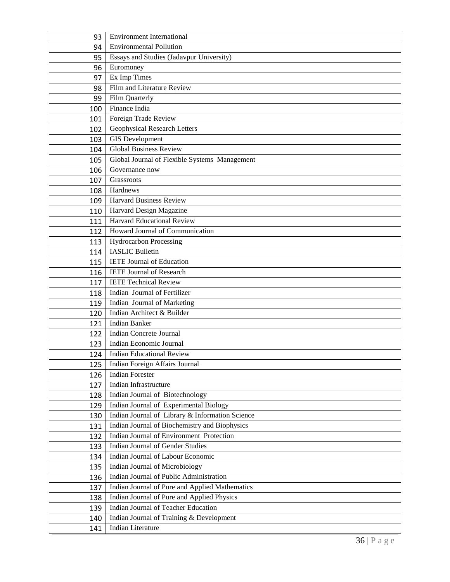| 93  | <b>Environment International</b>                |
|-----|-------------------------------------------------|
| 94  | <b>Environmental Pollution</b>                  |
| 95  | Essays and Studies (Jadavpur University)        |
| 96  | Euromoney                                       |
| 97  | Ex Imp Times                                    |
| 98  | Film and Literature Review                      |
| 99  | Film Quarterly                                  |
| 100 | Finance India                                   |
| 101 | Foreign Trade Review                            |
| 102 | Geophysical Research Letters                    |
| 103 | <b>GIS</b> Development                          |
| 104 | <b>Global Business Review</b>                   |
| 105 | Global Journal of Flexible Systems Management   |
| 106 | Governance now                                  |
| 107 | Grassroots                                      |
| 108 | Hardnews                                        |
| 109 | <b>Harvard Business Review</b>                  |
| 110 | Harvard Design Magazine                         |
| 111 | <b>Harvard Educational Review</b>               |
| 112 | Howard Journal of Communication                 |
| 113 | <b>Hydrocarbon Processing</b>                   |
| 114 | <b>IASLIC Bulletin</b>                          |
| 115 | <b>IETE Journal of Education</b>                |
| 116 | <b>IETE Journal of Research</b>                 |
| 117 | <b>IETE Technical Review</b>                    |
| 118 | Indian Journal of Fertilizer                    |
| 119 | Indian Journal of Marketing                     |
| 120 | Indian Architect & Builder                      |
| 121 | <b>Indian Banker</b>                            |
| 122 | <b>Indian Concrete Journal</b>                  |
| 123 | Indian Economic Journal                         |
| 124 | <b>Indian Educational Review</b>                |
| 125 | Indian Foreign Affairs Journal                  |
| 126 | <b>Indian Forester</b>                          |
| 127 | Indian Infrastructure                           |
| 128 | Indian Journal of Biotechnology                 |
| 129 | Indian Journal of Experimental Biology          |
| 130 | Indian Journal of Library & Information Science |
| 131 | Indian Journal of Biochemistry and Biophysics   |
| 132 | Indian Journal of Environment Protection        |
| 133 | <b>Indian Journal of Gender Studies</b>         |
| 134 | Indian Journal of Labour Economic               |
| 135 | Indian Journal of Microbiology                  |
| 136 | Indian Journal of Public Administration         |
| 137 | Indian Journal of Pure and Applied Mathematics  |
| 138 | Indian Journal of Pure and Applied Physics      |
| 139 | Indian Journal of Teacher Education             |
| 140 | Indian Journal of Training & Development        |
| 141 | <b>Indian Literature</b>                        |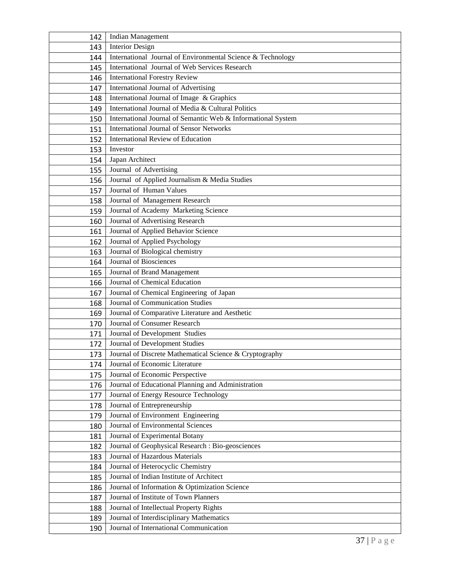| 142 | <b>Indian Management</b>                                     |
|-----|--------------------------------------------------------------|
| 143 | <b>Interior Design</b>                                       |
| 144 | International Journal of Environmental Science & Technology  |
| 145 | International Journal of Web Services Research               |
| 146 | <b>International Forestry Review</b>                         |
| 147 | International Journal of Advertising                         |
| 148 | International Journal of Image & Graphics                    |
| 149 | International Journal of Media & Cultural Politics           |
| 150 | International Journal of Semantic Web & Informational System |
| 151 | <b>International Journal of Sensor Networks</b>              |
| 152 | International Review of Education                            |
| 153 | Investor                                                     |
| 154 | Japan Architect                                              |
| 155 | Journal of Advertising                                       |
| 156 | Journal of Applied Journalism & Media Studies                |
| 157 | Journal of Human Values                                      |
| 158 | Journal of Management Research                               |
| 159 | Journal of Academy Marketing Science                         |
| 160 | Journal of Advertising Research                              |
| 161 | Journal of Applied Behavior Science                          |
| 162 | Journal of Applied Psychology                                |
| 163 | Journal of Biological chemistry                              |
| 164 | Journal of Biosciences                                       |
| 165 | Journal of Brand Management                                  |
| 166 | Journal of Chemical Education                                |
| 167 | Journal of Chemical Engineering of Japan                     |
| 168 | Journal of Communication Studies                             |
| 169 | Journal of Comparative Literature and Aesthetic              |
| 170 | Journal of Consumer Research                                 |
| 171 | Journal of Development Studies                               |
| 172 | Journal of Development Studies                               |
| 173 | Journal of Discrete Mathematical Science & Cryptography      |
| 174 | Journal of Economic Literature                               |
| 175 | Journal of Economic Perspective                              |
| 176 | Journal of Educational Planning and Administration           |
| 177 | Journal of Energy Resource Technology                        |
| 178 | Journal of Entrepreneurship                                  |
| 179 | Journal of Environment Engineering                           |
| 180 | Journal of Environmental Sciences                            |
| 181 | Journal of Experimental Botany                               |
| 182 | Journal of Geophysical Research : Bio-geosciences            |
| 183 | Journal of Hazardous Materials                               |
| 184 | Journal of Heterocyclic Chemistry                            |
| 185 | Journal of Indian Institute of Architect                     |
| 186 | Journal of Information & Optimization Science                |
| 187 | Journal of Institute of Town Planners                        |
| 188 | Journal of Intellectual Property Rights                      |
| 189 | Journal of Interdisciplinary Mathematics                     |
| 190 | Journal of International Communication                       |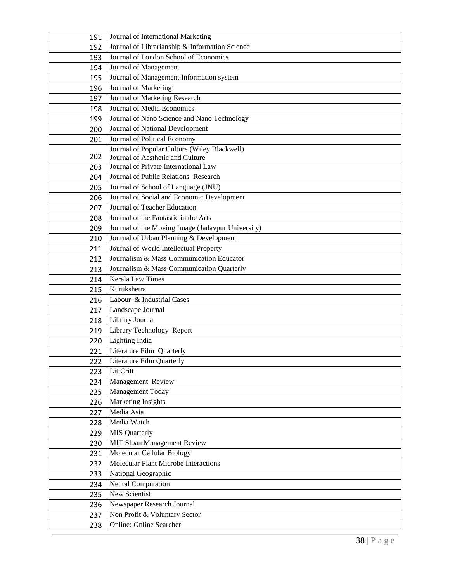| 191        | Journal of International Marketing                                                           |
|------------|----------------------------------------------------------------------------------------------|
| 192        | Journal of Librarianship & Information Science                                               |
| 193        | Journal of London School of Economics                                                        |
| 194        | Journal of Management                                                                        |
| 195        | Journal of Management Information system                                                     |
| 196        | Journal of Marketing                                                                         |
| 197        | Journal of Marketing Research                                                                |
| 198        | Journal of Media Economics                                                                   |
| 199        | Journal of Nano Science and Nano Technology                                                  |
| 200        | Journal of National Development                                                              |
| 201        | Journal of Political Economy                                                                 |
|            | Journal of Popular Culture (Wiley Blackwell)                                                 |
| 202        | Journal of Aesthetic and Culture<br>Journal of Private International Law                     |
| 203        |                                                                                              |
| 204        | Journal of Public Relations Research<br>Journal of School of Language (JNU)                  |
| 205        | Journal of Social and Economic Development                                                   |
| 206        | Journal of Teacher Education                                                                 |
| 207        | Journal of the Fantastic in the Arts                                                         |
| 208        |                                                                                              |
| 209        | Journal of the Moving Image (Jadavpur University)<br>Journal of Urban Planning & Development |
| 210<br>211 | Journal of World Intellectual Property                                                       |
| 212        | Journalism & Mass Communication Educator                                                     |
| 213        | Journalism & Mass Communication Quarterly                                                    |
| 214        | Kerala Law Times                                                                             |
| 215        | Kurukshetra                                                                                  |
| 216        | Labour & Industrial Cases                                                                    |
| 217        | Landscape Journal                                                                            |
| 218        | Library Journal                                                                              |
| 219        | Library Technology Report                                                                    |
| 220        | <b>Lighting India</b>                                                                        |
| 221        | Literature Film Quarterly                                                                    |
| 222        | Literature Film Quarterly                                                                    |
| 223        | LittCritt                                                                                    |
| 224        | Management Review                                                                            |
| 225        | Management Today                                                                             |
| 226        | Marketing Insights                                                                           |
| 227        | Media Asia                                                                                   |
| 228        | Media Watch                                                                                  |
| 229        | <b>MIS</b> Quarterly                                                                         |
| 230        | MIT Sloan Management Review                                                                  |
| 231        | Molecular Cellular Biology                                                                   |
| 232        | Molecular Plant Microbe Interactions                                                         |
| 233        | National Geographic                                                                          |
| 234        | Neural Computation                                                                           |
| 235        | New Scientist                                                                                |
| 236        | Newspaper Research Journal                                                                   |
| 237        | Non Profit & Voluntary Sector                                                                |
| 238        | Online: Online Searcher                                                                      |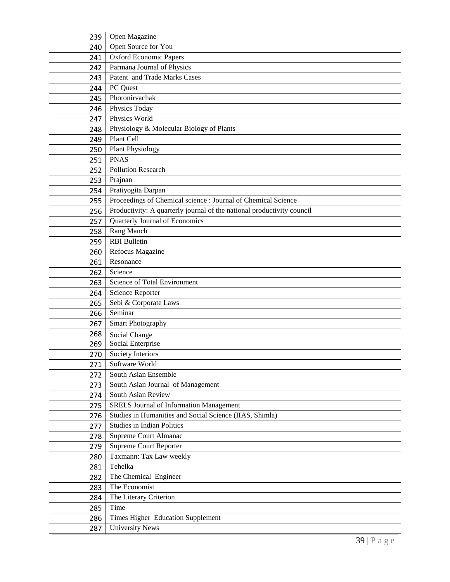| 239 | Open Magazine                                                          |
|-----|------------------------------------------------------------------------|
| 240 | Open Source for You                                                    |
| 241 | <b>Oxford Economic Papers</b>                                          |
| 242 | Parmana Journal of Physics                                             |
| 243 | Patent and Trade Marks Cases                                           |
| 244 | PC Quest                                                               |
| 245 | Photonirvachak                                                         |
| 246 | Physics Today                                                          |
| 247 | Physics World                                                          |
| 248 | Physiology & Molecular Biology of Plants                               |
| 249 | Plant Cell                                                             |
| 250 | <b>Plant Physiology</b>                                                |
| 251 | <b>PNAS</b>                                                            |
| 252 | <b>Pollution Research</b>                                              |
| 253 | Prajnan                                                                |
| 254 | Pratiyogita Darpan                                                     |
| 255 | Proceedings of Chemical science : Journal of Chemical Science          |
| 256 | Productivity: A quarterly journal of the national productivity council |
| 257 | Quarterly Journal of Economics                                         |
| 258 | Rang Manch                                                             |
| 259 | <b>RBI</b> Bulletin                                                    |
| 260 | Refocus Magazine                                                       |
| 261 | Resonance                                                              |
| 262 | Science                                                                |
| 263 | Science of Total Environment                                           |
| 264 | Science Reporter                                                       |
| 265 | Sebi & Corporate Laws                                                  |
| 266 | Seminar                                                                |
| 267 | <b>Smart Photography</b>                                               |
| 268 | Social Change                                                          |
| 269 | Social Enterprise                                                      |
| 270 | Society Interiors                                                      |
| 271 | Software World                                                         |
| 272 | South Asian Ensemble                                                   |
| 273 | South Asian Journal of Management                                      |
| 274 | South Asian Review                                                     |
| 275 | <b>SRELS Journal of Information Management</b>                         |
| 276 | Studies in Humanities and Social Science (IIAS, Shimla)                |
| 277 | <b>Studies in Indian Politics</b>                                      |
| 278 | Supreme Court Almanac                                                  |
| 279 | Supreme Court Reporter                                                 |
| 280 | Taxmann: Tax Law weekly<br>Tehelka                                     |
| 281 |                                                                        |
| 282 | The Chemical Engineer                                                  |
| 283 | The Economist                                                          |
| 284 | The Literary Criterion<br>Time                                         |
| 285 |                                                                        |
| 286 | Times Higher Education Supplement                                      |
| 287 | <b>University News</b>                                                 |